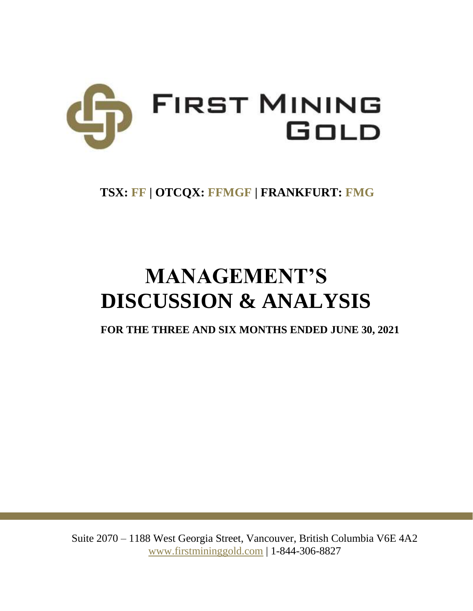

# **TSX: FF | OTCQX: FFMGF | FRANKFURT: FMG**

# **MANAGEMENT'S DISCUSSION & ANALYSIS**

**FOR THE THREE AND SIX MONTHS ENDED JUNE 30, 2021**

Suite 2070 – 1188 West Georgia Street, Vancouver, British Columbia V6E 4A2 www.firstmininggold.com | 1-844-306-8827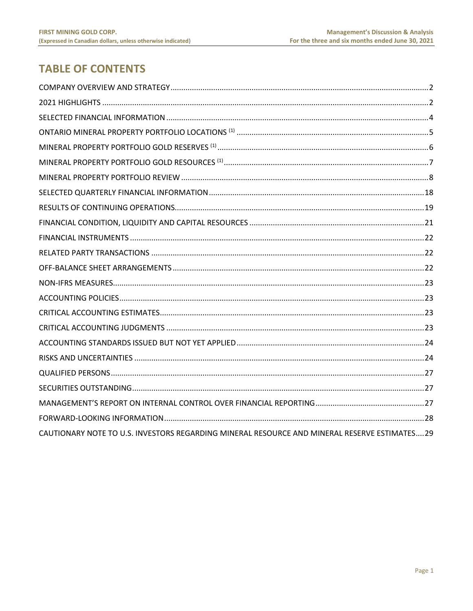# **TABLE OF CONTENTS**

| CAUTIONARY NOTE TO U.S. INVESTORS REGARDING MINERAL RESOURCE AND MINERAL RESERVE ESTIMATES29 |  |
|----------------------------------------------------------------------------------------------|--|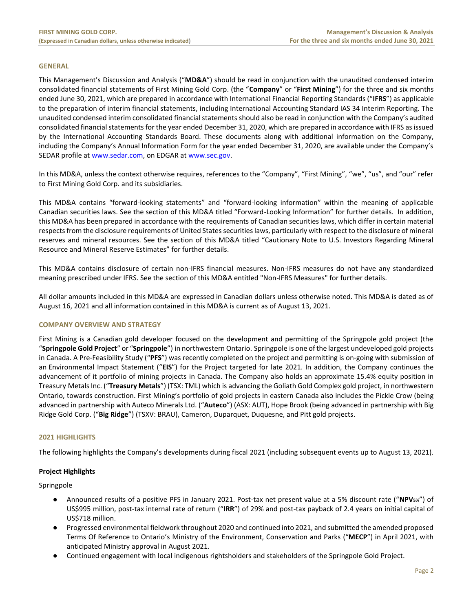# **GENERAL**

This Management's Discussion and Analysis ("**MD&A**") should be read in conjunction with the unaudited condensed interim consolidated financial statements of First Mining Gold Corp. (the "**Company**" or "**First Mining**") for the three and six months ended June 30, 2021, which are prepared in accordance with International Financial Reporting Standards ("**IFRS**") as applicable to the preparation of interim financial statements, including International Accounting Standard IAS 34 Interim Reporting. The unaudited condensed interim consolidated financial statements should also be read in conjunction with the Company's audited consolidated financial statements for the year ended December 31, 2020, which are prepared in accordance with IFRS as issued by the International Accounting Standards Board. These documents along with additional information on the Company, including the Company's Annual Information Form for the year ended December 31, 2020, are available under the Company's SEDAR profile at [www.sedar.com,](http://www.sedar.com/) on EDGAR at [www.sec.gov.](http://www.sec.gov/)

In this MD&A, unless the context otherwise requires, references to the "Company", "First Mining", "we", "us", and "our" refer to First Mining Gold Corp. and its subsidiaries.

This MD&A contains "forward-looking statements" and "forward-looking information" within the meaning of applicable Canadian securities laws. See the section of this MD&A titled "Forward-Looking Information" for further details. In addition, this MD&A has been prepared in accordance with the requirements of Canadian securities laws, which differ in certain material respects from the disclosure requirements of United States securities laws, particularly with respect to the disclosure of mineral reserves and mineral resources. See the section of this MD&A titled "Cautionary Note to U.S. Investors Regarding Mineral Resource and Mineral Reserve Estimates" for further details.

This MD&A contains disclosure of certain non-IFRS financial measures. Non-IFRS measures do not have any standardized meaning prescribed under IFRS. See the section of this MD&A entitled "Non-IFRS Measures" for further details.

All dollar amounts included in this MD&A are expressed in Canadian dollars unless otherwise noted. This MD&A is dated as of August 16, 2021 and all information contained in this MD&A is current as of August 13, 2021.

# <span id="page-2-0"></span>**COMPANY OVERVIEW AND STRATEGY**

First Mining is a Canadian gold developer focused on the development and permitting of the Springpole gold project (the "**Springpole Gold Project**" or "**Springpole**") in northwestern Ontario. [Springpole](https://www.firstmininggold.com/projects/ontario/springpole-project/) is one of the largest undeveloped gold projects in Canada. A Pre-Feasibility Study ("**PFS**") was recently completed on the project and permitting is on-going with submission of an Environmental Impact Statement ("**EIS**") for the Project targeted for late 2021. In addition, the Company continues the advancement of it portfolio of mining projects in Canada. The Company also holds an approximate 15.4% equity position in Treasury Metals Inc. ("**Treasury Metals**") (TSX: TML) which is advancing the Goliath Gold Complex gold project, in northwestern Ontario, towards construction. First Mining's portfolio of gold projects in eastern Canada also includes the Pickle Crow (being [advanced in partnership with Auteco Minerals](https://can01.safelinks.protection.outlook.com/?url=https%3A%2F%2Fwww.firstmininggold.com%2Fnews%2Freleases%2Ffirst-mining-partners-with-auteco-to-advance-its-pickle-crow-gold-project&data=02%7C01%7Cspiros%40firstmininggold.com%7Cfd619baf467243ac240108d84fc21453%7C3564d7a87e774cf9aee2f8fb0795b85e%7C0%7C0%7C637347042261240296&sdata=4T7jmXs5w440KrLTkegXHGGoD8HxJ%2FZRX9qzlYW91Ks%3D&reserved=0) Ltd. ("**Auteco**") (ASX: AUT), Hope Brook (being advanced in partnership with Big Ridge Gold Corp. ("**Big Ridge**") (TSXV: BRAU), Cameron, Duparquet, Duquesne, and Pitt gold projects.

# <span id="page-2-1"></span>**2021 HIGHLIGHTS**

The following highlights the Company's developments during fiscal 2021 (including subsequent events up to August 13, 2021).

# **Project Highlights**

#### **Springpole**

- Announced results of a positive PFS in January 2021. Post-tax net present value at a 5% discount rate ("**NPV5%**") of US\$995 million, post-tax internal rate of return ("**IRR**") of 29% and post-tax payback of 2.4 years on initial capital of US\$718 million.
- Progressed environmental fieldwork throughout 2020 and continued into 2021, and submitted the amended proposed Terms Of Reference to Ontario's Ministry of the Environment, Conservation and Parks ("**MECP**") in April 2021, with anticipated Ministry approval in August 2021.
- Continued engagement with local indigenous rightsholders and stakeholders of the Springpole Gold Project.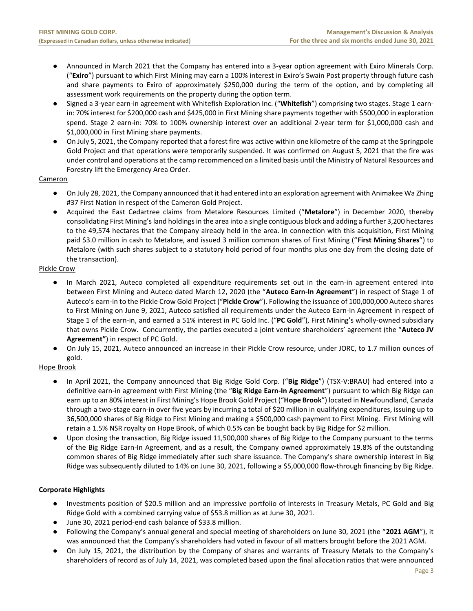- Announced in March 2021 that the Company has entered into a 3-year option agreement with Exiro Minerals Corp. ("**Exiro**") pursuant to which First Mining may earn a 100% interest in Exiro's Swain Post property through future cash and share payments to Exiro of approximately \$250,000 during the term of the option, and by completing all assessment work requirements on the property during the option term.
- Signed a 3-year earn-in agreement with Whitefish Exploration Inc. ("**Whitefish**") comprising two stages. Stage 1 earnin: 70% interest for \$200,000 cash and \$425,000 in First Mining share payments together with \$500,000 in exploration spend. Stage 2 earn-in: 70% to 100% ownership interest over an additional 2-year term for \$1,000,000 cash and \$1,000,000 in First Mining share payments.
- On July 5, 2021, the Company reported that a forest fire was active within one kilometre of the camp at the Springpole Gold Project and that operations were temporarily suspended. It was confirmed on August 5, 2021 that the fire was under control and operations at the camp recommenced on a limited basis until the Ministry of Natural Resources and Forestry lift the Emergency Area Order.

# Cameron

- On July 28, 2021, the Company announced that it had entered into an exploration agreement with Animakee Wa Zhing #37 First Nation in respect of the Cameron Gold Project.
- Acquired the East Cedartree claims from Metalore Resources Limited ("**Metalore**") in December 2020, thereby consolidating First Mining's land holdings in the area into a single contiguous block and adding a further 3,200 hectares to the 49,574 hectares that the Company already held in the area. In connection with this acquisition, First Mining paid \$3.0 million in cash to Metalore, and issued 3 million common shares of First Mining ("**First Mining Shares**") to Metalore (with such shares subject to a statutory hold period of four months plus one day from the closing date of the transaction).

# Pickle Crow

- In March 2021, Auteco completed all expenditure requirements set out in the earn-in agreement entered into between First Mining and Auteco dated March 12, 2020 (the "**Auteco Earn-In Agreement**") in respect of Stage 1 of Auteco's earn-in to the Pickle Crow Gold Project ("**Pickle Crow**"). Following the issuance of 100,000,000 Auteco shares to First Mining on June 9, 2021, Auteco satisfied all requirements under the Auteco Earn-In Agreement in respect of Stage 1 of the earn-in, and earned a 51% interest in PC Gold Inc. ("**PC Gold**"), First Mining's wholly-owned subsidiary that owns Pickle Crow. Concurrently, the parties executed a joint venture shareholders' agreement (the "**Auteco JV Agreement"**) in respect of PC Gold.
- On July 15, 2021, Auteco announced an increase in their Pickle Crow resource, under JORC, to 1.7 million ounces of gold.

# Hope Brook

- In April 2021, the Company announced that Big Ridge Gold Corp. ("**Big Ridge**") (TSX-V:BRAU) had entered into a definitive earn-in agreement with First Mining (the "**Big Ridge Earn-In Agreement**") pursuant to which Big Ridge can earn up to an 80% interest in First Mining's Hope Brook Gold Project ("**Hope Brook**") located in Newfoundland, Canada through a two-stage earn-in over five years by incurring a total of \$20 million in qualifying expenditures, issuing up to 36,500,000 shares of Big Ridge to First Mining and making a \$500,000 cash payment to First Mining. First Mining will retain a 1.5% NSR royalty on Hope Brook, of which 0.5% can be bought back by Big Ridge for \$2 million.
- Upon closing the transaction, Big Ridge issued 11,500,000 shares of Big Ridge to the Company pursuant to the terms of the Big Ridge Earn-In Agreement, and as a result, the Company owned approximately 19.8% of the outstanding common shares of Big Ridge immediately after such share issuance. The Company's share ownership interest in Big Ridge was subsequently diluted to 14% on June 30, 2021, following a \$5,000,000 flow-through financing by Big Ridge.

# **Corporate Highlights**

- Investments position of \$20.5 million and an impressive portfolio of interests in Treasury Metals, PC Gold and Big Ridge Gold with a combined carrying value of \$53.8 million as at June 30, 2021.
- June 30, 2021 period-end cash balance of \$33.8 million.
- Following the Company's annual general and special meeting of shareholders on June 30, 2021 (the "**2021 AGM**"), it was announced that the Company's shareholders had voted in favour of all matters brought before the 2021 AGM.
- On July 15, 2021, the distribution by the Company of shares and warrants of Treasury Metals to the Company's shareholders of record as of July 14, 2021, was completed based upon the final allocation ratios that were announced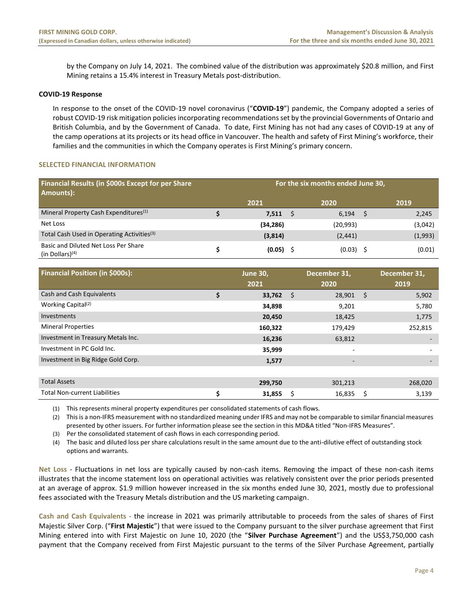by the Company on July 14, 2021. The combined value of the distribution was approximately \$20.8 million, and First Mining retains a 15.4% interest in Treasury Metals post-distribution.

# **COVID-19 Response**

In response to the onset of the COVID-19 novel coronavirus ("**COVID-19**") pandemic, the Company adopted a series of robust COVID-19 risk mitigation policies incorporating recommendations set by the provincial Governments of Ontario and British Columbia, and by the Government of Canada. To date, First Mining has not had any cases of COVID-19 at any of the camp operations at its projects or its head office in Vancouver. The health and safety of First Mining's workforce, their families and the communities in which the Company operates is First Mining's primary concern.

# <span id="page-4-0"></span>**SELECTED FINANCIAL INFORMATION**

| Financial Results (in \$000s Except for per Share<br>Amounts):  | For the six months ended June 30, |           |  |             |  |         |  |  |
|-----------------------------------------------------------------|-----------------------------------|-----------|--|-------------|--|---------|--|--|
|                                                                 |                                   | 2021      |  | 2020        |  | 2019    |  |  |
| Mineral Property Cash Expenditures <sup>(1)</sup>               |                                   | 7,511     |  | 6,194       |  | 2,245   |  |  |
| Net Loss                                                        |                                   | (34, 286) |  | (20, 993)   |  | (3,042) |  |  |
| Total Cash Used in Operating Activities <sup>(3)</sup>          |                                   | (3,814)   |  | (2, 441)    |  | (1,993) |  |  |
| Basic and Diluted Net Loss Per Share<br>$(in$ Dollars $)^{(4)}$ |                                   | (0.05)    |  | $(0.03)$ \$ |  | (0.01)  |  |  |

| <b>Financial Position (in \$000s):</b> | <b>June 30,</b><br>2021 |    | December 31,<br>2020     |      | December 31,<br>2019     |
|----------------------------------------|-------------------------|----|--------------------------|------|--------------------------|
| Cash and Cash Equivalents              | \$<br>33,762            | Ś. | 28,901                   | - \$ | 5,902                    |
| Working Capital <sup>(2)</sup>         | 34,898                  |    | 9,201                    |      | 5,780                    |
| Investments                            | 20,450                  |    | 18,425                   |      | 1,775                    |
| <b>Mineral Properties</b>              | 160,322                 |    | 179,429                  |      | 252,815                  |
| Investment in Treasury Metals Inc.     | 16,236                  |    | 63,812                   |      | $\overline{\phantom{a}}$ |
| Investment in PC Gold Inc.             | 35,999                  |    | $\overline{\phantom{a}}$ |      | ۰                        |
| Investment in Big Ridge Gold Corp.     | 1,577                   |    | $\overline{\phantom{0}}$ |      |                          |
|                                        |                         |    |                          |      |                          |
| <b>Total Assets</b>                    | 299,750                 |    | 301,213                  |      | 268,020                  |
| <b>Total Non-current Liabilities</b>   | \$<br>31,855            | \$ | 16,835                   | \$   | 3,139                    |

(1) This represents mineral property expenditures per consolidated statements of cash flows.

(2) This is a non-IFRS measurement with no standardized meaning under IFRS and may not be comparable to similar financial measures presented by other issuers. For further information please see the section in this MD&A titled "Non-IFRS Measures".

(3) Per the consolidated statement of cash flows in each corresponding period.

(4) The basic and diluted loss per share calculations result in the same amount due to the anti-dilutive effect of outstanding stock options and warrants.

**Net Loss** - Fluctuations in net loss are typically caused by non-cash items. Removing the impact of these non-cash items illustrates that the income statement loss on operational activities was relatively consistent over the prior periods presented at an average of approx. \$1.9 million however increased in the six months ended June 30, 2021, mostly due to professional fees associated with the Treasury Metals distribution and the US marketing campaign.

**Cash and Cash Equivalents -** the increase in 2021 was primarily attributable to proceeds from the sales of shares of First Majestic Silver Corp. ("**First Majestic**") that were issued to the Company pursuant to the silver purchase agreement that First Mining entered into with First Majestic on June 10, 2020 (the "**Silver Purchase Agreement**") and the US\$3,750,000 cash payment that the Company received from First Majestic pursuant to the terms of the Silver Purchase Agreement, partially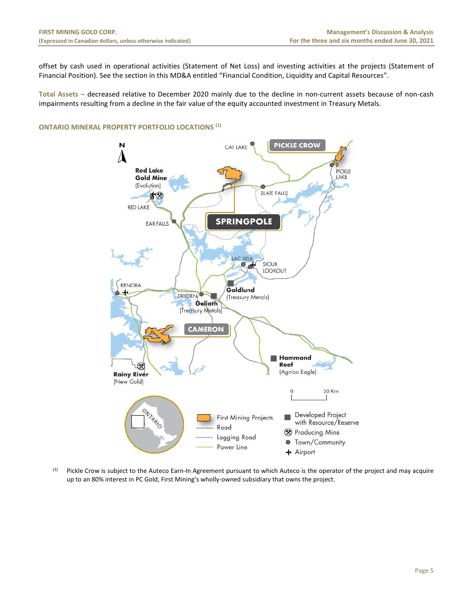offset by cash used in operational activities (Statement of Net Loss) and investing activities at the projects (Statement of Financial Position). See the section in this MD&A entitled "Financial Condition, Liquidity and Capital Resources".

**Total Assets –** decreased relative to December 2020 mainly due to the decline in non-current assets because of non-cash impairments resulting from a decline in the fair value of the equity accounted investment in Treasury Metals.

# <span id="page-5-0"></span>**ONTARIO MINERAL PROPERTY PORTFOLIO LOCATIONS (1)**



<span id="page-5-1"></span>(1) Pickle Crow is subject to the Auteco Earn-In Agreement pursuant to which Auteco is the operator of the project and may acquire up to an 80% interest in PC Gold, First Mining's wholly-owned subsidiary that owns the project.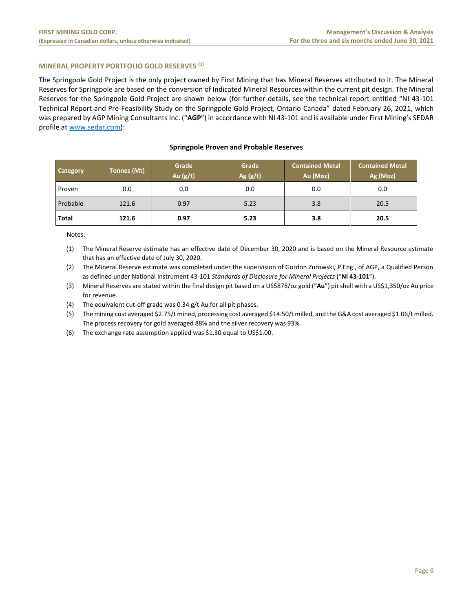# **MINERAL PROPERTY PORTFOLIO GOLD RESERVES (1)**

The Springpole Gold Project is the only project owned by First Mining that has Mineral Reserves attributed to it. The Mineral Reserves for Springpole are based on the conversion of Indicated Mineral Resources within the current pit design. The Mineral Reserves for the Springpole Gold Project are shown below (for further details, see the technical report entitled "NI 43-101 Technical Report and Pre-Feasibility Study on the Springpole Gold Project, Ontario Canada" dated February 26, 2021, which was prepared by AGP Mining Consultants Inc. ("**AGP**") in accordance with NI 43-101 and is available under First Mining's SEDAR profile a[t www.sedar.com\)](http://www.sedar.com/):

| Category     | Tonnes (Mt) | Grade<br>Au $(g/t)$ | Grade<br>Ag $(g/t)$ | <b>Contained Metal</b><br>Au (Moz) | <b>Contained Metal</b><br>Ag (Moz) |
|--------------|-------------|---------------------|---------------------|------------------------------------|------------------------------------|
| Proven       | 0.0         | 0.0                 | 0.0                 | 0.0                                | 0.0                                |
| Probable     | 121.6       | 0.97                | 5.23                | 3.8                                | 20.5                               |
| <b>Total</b> | 121.6       | 0.97                | 5.23                | 3.8                                | 20.5                               |

#### **Springpole Proven and Probable Reserves**

Notes:

(1) The Mineral Reserve estimate has an effective date of December 30, 2020 and is based on the Mineral Resource estimate that has an effective date of July 30, 2020.

(2) The Mineral Reserve estimate was completed under the supervision of Gordon Zurowski, P.Eng., of AGP, a Qualified Person as defined under National Instrument 43-101 *Standards of Disclosure for Mineral Projects* ("**NI 43-101**").

(3) Mineral Reserves are stated within the final design pit based on a US\$878/oz gold ("**Au**") pit shell with a US\$1,350/oz Au price for revenue.

(4) The equivalent cut-off grade was 0.34 g/t Au for all pit phases.

(5) The mining cost averaged \$2.75/t mined, processing cost averaged \$14.50/t milled, and the G&A cost averaged \$1.06/t milled. The process recovery for gold averaged 88% and the silver recovery was 93%.

(6) The exchange rate assumption applied was \$1.30 equal to US\$1.00.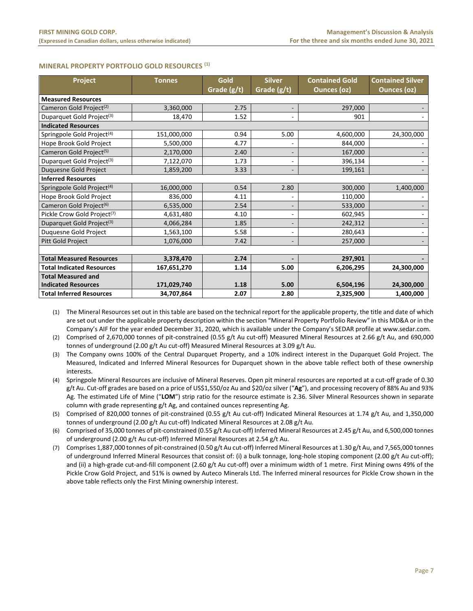# <span id="page-7-0"></span>**MINERAL PROPERTY PORTFOLIO GOLD RESOURCES (1)**

| Project                                 | <b>Tonnes</b> | Gold        | <b>Silver</b>            | <b>Contained Gold</b> | <b>Contained Silver</b> |  |  |  |
|-----------------------------------------|---------------|-------------|--------------------------|-----------------------|-------------------------|--|--|--|
|                                         |               | Grade (g/t) | Grade (g/t)              | <b>Ounces (oz)</b>    | <b>Ounces (oz)</b>      |  |  |  |
| <b>Measured Resources</b>               |               |             |                          |                       |                         |  |  |  |
| Cameron Gold Project <sup>(2)</sup>     | 3,360,000     | 2.75        |                          | 297,000               |                         |  |  |  |
| Duparquet Gold Project <sup>(3)</sup>   | 18,470        | 1.52        |                          | 901                   |                         |  |  |  |
| <b>Indicated Resources</b>              |               |             |                          |                       |                         |  |  |  |
| Springpole Gold Project <sup>(4)</sup>  | 151,000,000   | 0.94        | 5.00                     | 4,600,000             | 24,300,000              |  |  |  |
| Hope Brook Gold Project                 | 5,500,000     | 4.77        |                          | 844,000               |                         |  |  |  |
| Cameron Gold Project <sup>(5)</sup>     | 2,170,000     | 2.40        |                          | 167,000               |                         |  |  |  |
| Duparquet Gold Project <sup>(3)</sup>   | 7,122,070     | 1.73        |                          | 396,134               |                         |  |  |  |
| Duquesne Gold Project                   | 1,859,200     | 3.33        |                          | 199,161               |                         |  |  |  |
| <b>Inferred Resources</b>               |               |             |                          |                       |                         |  |  |  |
| Springpole Gold Project <sup>(4)</sup>  | 16,000,000    | 0.54        | 2.80                     | 300,000               | 1,400,000               |  |  |  |
| Hope Brook Gold Project                 | 836,000       | 4.11        |                          | 110,000               |                         |  |  |  |
| Cameron Gold Project <sup>(6)</sup>     | 6,535,000     | 2.54        |                          | 533,000               |                         |  |  |  |
| Pickle Crow Gold Project <sup>(7)</sup> | 4,631,480     | 4.10        | $\overline{\phantom{m}}$ | 602,945               |                         |  |  |  |
| Duparquet Gold Project <sup>(3)</sup>   | 4,066,284     | 1.85        |                          | 242,312               |                         |  |  |  |
| Duquesne Gold Project                   | 1,563,100     | 5.58        | $\overline{\phantom{a}}$ | 280,643               |                         |  |  |  |
| Pitt Gold Project                       | 1,076,000     | 7.42        | $\overline{\phantom{a}}$ | 257,000               |                         |  |  |  |
|                                         |               |             |                          |                       |                         |  |  |  |
| <b>Total Measured Resources</b>         | 3,378,470     | 2.74        |                          | 297,901               |                         |  |  |  |
| <b>Total Indicated Resources</b>        | 167,651,270   | 1.14        | 5.00                     | 6,206,295             | 24,300,000              |  |  |  |
| <b>Total Measured and</b>               |               |             |                          |                       |                         |  |  |  |
| <b>Indicated Resources</b>              | 171,029,740   | 1.18        | 5.00                     | 6,504,196             | 24,300,000              |  |  |  |
| <b>Total Inferred Resources</b>         | 34,707,864    | 2.07        | 2.80                     | 2,325,900             | 1,400,000               |  |  |  |

(1) The Mineral Resources set out in this table are based on the technical report for the applicable property, the title and date of which are set out under the applicable property description within the section "Mineral Property Portfolio Review" in this MD&A or in the Company's AIF for the year ended December 31, 2020, which is available under the Company's SEDAR profile at www.sedar.com.

(2) Comprised of 2,670,000 tonnes of pit-constrained (0.55 g/t Au cut-off) Measured Mineral Resources at 2.66 g/t Au, and 690,000 tonnes of underground (2.00 g/t Au cut-off) Measured Mineral Resources at 3.09 g/t Au.

(3) The Company owns 100% of the Central Duparquet Property, and a 10% indirect interest in the Duparquet Gold Project. The Measured, Indicated and Inferred Mineral Resources for Duparquet shown in the above table reflect both of these ownership interests.

- (4) Springpole Mineral Resources are inclusive of Mineral Reserves. Open pit mineral resources are reported at a cut-off grade of 0.30 g/t Au. Cut-off grades are based on a price of US\$1,550/oz Au and \$20/oz silver ("**Ag**"), and processing recovery of 88% Au and 93% Ag. The estimated Life of Mine ("**LOM**") strip ratio for the resource estimate is 2.36. Silver Mineral Resources shown in separate column with grade representing g/t Ag, and contained ounces representing Ag.
- (5) Comprised of 820,000 tonnes of pit-constrained (0.55 g/t Au cut-off) Indicated Mineral Resources at 1.74 g/t Au, and 1,350,000 tonnes of underground (2.00 g/t Au cut-off) Indicated Mineral Resources at 2.08 g/t Au.
- (6) Comprised of 35,000 tonnes of pit-constrained (0.55 g/t Au cut-off) Inferred Mineral Resources at 2.45 g/t Au, and 6,500,000 tonnes of underground (2.00 g/t Au cut-off) Inferred Mineral Resources at 2.54 g/t Au.
- (7) Comprises 1,887,000 tonnes of pit-constrained (0.50 g/t Au cut-off) Inferred Mineral Resources at 1.30 g/t Au, and 7,565,000 tonnes of underground Inferred Mineral Resources that consist of: (i) a bulk tonnage, long-hole stoping component (2.00 g/t Au cut-off); and (ii) a high-grade cut-and-fill component (2.60 g/t Au cut-off) over a minimum width of 1 metre. First Mining owns 49% of the Pickle Crow Gold Project, and 51% is owned by Auteco Minerals Ltd. The Inferred mineral resources for Pickle Crow shown in the above table reflects only the First Mining ownership interest.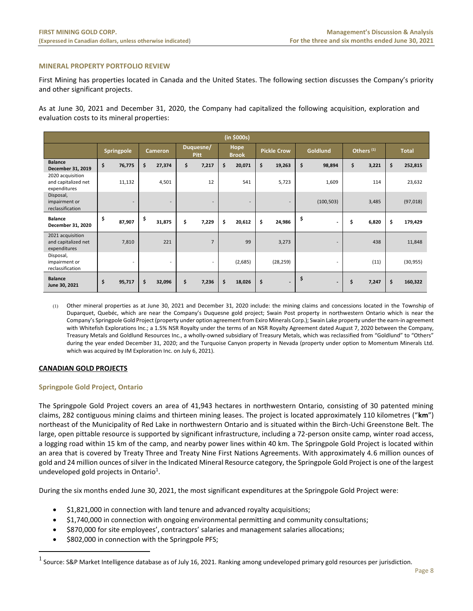# <span id="page-8-0"></span>**MINERAL PROPERTY PORTFOLIO REVIEW**

First Mining has properties located in Canada and the United States. The following section discusses the Company's priority and other significant projects.

As at June 30, 2021 and December 31, 2020, the Company had capitalized the following acquisition, exploration and evaluation costs to its mineral properties:

|                                                         | (in \$000s) |                   |    |                          |    |                          |                      |                          |                    |                          |                 |                          |                       |       |              |           |
|---------------------------------------------------------|-------------|-------------------|----|--------------------------|----|--------------------------|----------------------|--------------------------|--------------------|--------------------------|-----------------|--------------------------|-----------------------|-------|--------------|-----------|
|                                                         |             | <b>Springpole</b> |    | <b>Cameron</b>           |    | Duquesne/<br><b>Pitt</b> | Hope<br><b>Brook</b> |                          | <b>Pickle Crow</b> |                          | <b>Goldlund</b> |                          | Others <sup>(1)</sup> |       | <b>Total</b> |           |
| <b>Balance</b><br>December 31, 2019                     | \$          | 76,775            | \$ | 27,374                   | \$ | 7,217                    | \$                   | 20,071                   | \$                 | 19,263                   | \$              | 98,894                   | \$                    | 3,221 | \$           | 252,815   |
| 2020 acquisition<br>and capitalized net<br>expenditures |             | 11,132            |    | 4,501                    |    | 12                       |                      | 541                      |                    | 5,723                    |                 | 1,609                    |                       | 114   |              | 23,632    |
| Disposal,<br>impairment or<br>reclassification          |             | ۰                 |    | $\overline{\phantom{a}}$ |    | ۰                        |                      | $\overline{\phantom{a}}$ |                    | $\overline{\phantom{a}}$ |                 | (100, 503)               |                       | 3,485 |              | (97, 018) |
| <b>Balance</b><br>December 31, 2020                     | \$          | 87,907            | \$ | 31,875                   | \$ | 7,229                    | \$                   | 20,612                   | \$                 | 24,986                   | \$              | $\overline{\phantom{a}}$ | \$                    | 6,820 | \$           | 179,429   |
| 2021 acquisition<br>and capitalized net<br>expenditures |             | 7,810             |    | 221                      |    | $\overline{7}$           |                      | 99                       |                    | 3,273                    |                 | $\overline{\phantom{a}}$ |                       | 438   |              | 11,848    |
| Disposal,<br>impairment or<br>reclassification          |             | ٠                 |    | $\overline{\phantom{a}}$ |    | $\sim$                   |                      | (2,685)                  |                    | (28, 259)                |                 | $\overline{\phantom{a}}$ |                       | (11)  |              | (30, 955) |
| <b>Balance</b><br>June 30, 2021                         | \$          | 95,717            | \$ | 32,096                   | \$ | 7,236                    | \$                   | 18,026                   | \$                 | $\blacksquare$           | \$              | $\overline{\phantom{a}}$ | \$                    | 7,247 | \$           | 160,322   |

(1) Other mineral properties as at June 30, 2021 and December 31, 2020 include: the mining claims and concessions located in the Township of Duparquet, Quebéc, which are near the Company's Duquesne gold project; Swain Post property in northwestern Ontario which is near the Company's Springpole Gold Project (property under option agreement from Exiro Minerals Corp.); Swain Lake property under the earn-in agreement with Whitefish Explorations Inc.; a 1.5% NSR Royalty under the terms of an NSR Royalty Agreement dated August 7, 2020 between the Company, Treasury Metals and Goldlund Resources Inc., a wholly-owned subsidiary of Treasury Metals, which was reclassified from "Goldlund" to "Others" during the year ended December 31, 2020; and the Turquoise Canyon property in Nevada (property under option to Momentum Minerals Ltd. which was acquired by IM Exploration Inc. on July 6, 2021).

# **CANADIAN GOLD PROJECTS**

#### **Springpole Gold Project, Ontario**

The Springpole Gold Project covers an area of 41,943 hectares in northwestern Ontario, consisting of 30 patented mining claims, 282 contiguous mining claims and thirteen mining leases. The project is located approximately 110 kilometres ("**km**") northeast of the Municipality of Red Lake in northwestern Ontario and is situated within the Birch-Uchi Greenstone Belt. The large, open pittable resource is supported by significant infrastructure, including a 72-person onsite camp, winter road access, a logging road within 15 km of the camp, and nearby power lines within 40 km. The Springpole Gold Project is located within an area that is covered by Treaty Three and Treaty Nine First Nations Agreements. With approximately 4.6 million ounces of gold and 24 million ounces of silver in the Indicated Mineral Resource category, the Springpole Gold Project is one of the largest undeveloped gold projects in Ontario<sup>1</sup>.

During the six months ended June 30, 2021, the most significant expenditures at the Springpole Gold Project were:

- \$1,821,000 in connection with land tenure and advanced royalty acquisitions;
- \$1,740,000 in connection with ongoing environmental permitting and community consultations;
- \$870,000 for site employees', contractors' salaries and management salaries allocations;
- \$802,000 in connection with the Springpole PFS;

 $^1$  Source: S&P Market Intelligence database as of July 16, 2021. Ranking among undeveloped primary gold resources per jurisdiction.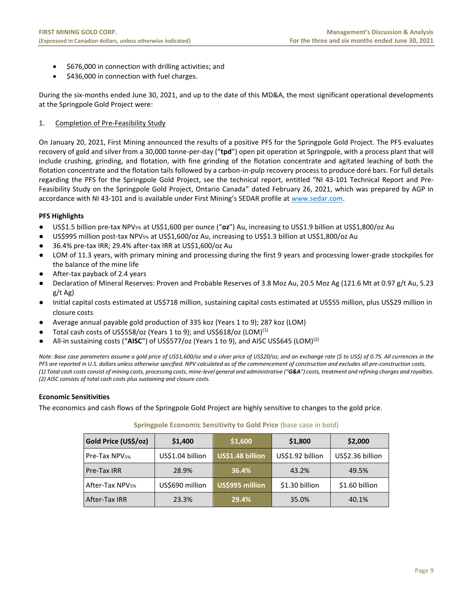- \$676,000 in connection with drilling activities; and
- \$436,000 in connection with fuel charges.

During the six-months ended June 30, 2021, and up to the date of this MD&A, the most significant operational developments at the Springpole Gold Project were:

# 1. Completion of Pre-Feasibility Study

On January 20, 2021, First Mining announced the results of a positive PFS for the Springpole Gold Project. The PFS evaluates recovery of gold and silver from a 30,000 tonne-per-day ("**tpd**") open pit operation at Springpole, with a process plant that will include crushing, grinding, and flotation, with fine grinding of the flotation concentrate and agitated leaching of both the flotation concentrate and the flotation tails followed by a carbon-in-pulp recovery process to produce doré bars. For full details regarding the PFS for the Springpole Gold Project, see the technical report, entitled "NI 43-101 Technical Report and Pre-Feasibility Study on the Springpole Gold Project, Ontario Canada" dated February 26, 2021, which was prepared by AGP in accordance with NI 43-101 and is available under First Mining's SEDAR profile at [www.sedar.com.](http://www.sedar.com/)

# **PFS Highlights**

- US\$1.5 billion pre-tax NPV5% at US\$1,600 per ounce ("**oz**") Au, increasing to US\$1.9 billion at US\$1,800/oz Au
- US\$995 million post-tax NPV<sub>5%</sub> at US\$1,600/oz Au, increasing to US\$1.3 billion at US\$1,800/oz Au
- 36.4% pre-tax IRR; 29.4% after-tax IRR at US\$1,600/oz Au
- LOM of 11.3 years, with primary mining and processing during the first 9 years and processing lower-grade stockpiles for the balance of the mine life
- After-tax payback of 2.4 years
- Declaration of Mineral Reserves: Proven and Probable Reserves of 3.8 Moz Au, 20.5 Moz Ag (121.6 Mt at 0.97 g/t Au, 5.23 g/t Ag)
- Initial capital costs estimated at US\$718 million, sustaining capital costs estimated at US\$55 million, plus US\$29 million in closure costs
- Average annual payable gold production of 335 koz (Years 1 to 9); 287 koz (LOM)
- Total cash costs of US\$558/oz (Years 1 to 9); and US\$618/oz (LOM)<sup>(1)</sup>
- All-in sustaining costs ("AISC") of US\$577/oz (Years 1 to 9), and AISC US\$645 (LOM)<sup>(2)</sup>

*Note: Base case parameters assume a gold price of US\$1,600/oz and a silver price of US\$20/oz, and an exchange rate (\$ to US\$) of 0.75. All currencies in the PFS are reported in U.S. dollars unless otherwise specified. NPV calculated as of the commencement of construction and excludes all pre-construction costs. (1) Total cash costs consist of mining costs, processing costs, mine-level general and administrative ("G&A") costs, treatment and refining charges and royalties. (2) AISC consists of total cash costs plus sustaining and closure costs.* 

# **Economic Sensitivities**

The economics and cash flows of the Springpole Gold Project are highly sensitive to changes to the gold price.

# **Springpole Economic Sensitivity to Gold Price** (base case in bold)

| Gold Price (US\$/oz)        | \$1,400          | \$1,600          | \$1,800          | \$2,000          |  |  |
|-----------------------------|------------------|------------------|------------------|------------------|--|--|
| Pre-Tax NPV <sub>5%</sub>   | US\$1.04 billion | US\$1.48 billion | US\$1.92 billion | US\$2.36 billion |  |  |
| Pre-Tax IRR                 | 28.9%            | 36.4%            | 43.2%            | 49.5%            |  |  |
| After-Tax NPV <sub>5%</sub> | US\$690 million  | US\$995 million  | \$1.30 billion   | \$1.60 billion   |  |  |
| <b>After-Tax IRR</b>        | 23.3%            | 29.4%            | 35.0%            | 40.1%            |  |  |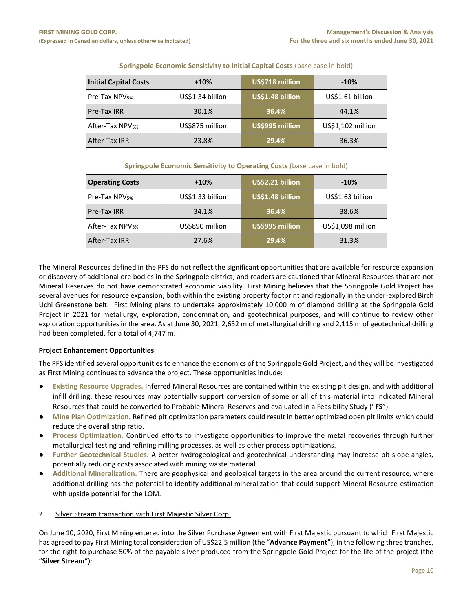| <b>Initial Capital Costs</b> | $+10%$           | US\$718 million  | $-10%$            |  |  |  |  |
|------------------------------|------------------|------------------|-------------------|--|--|--|--|
| Pre-Tax NPV <sub>5%</sub>    | US\$1.34 billion | US\$1.48 billion | US\$1.61 billion  |  |  |  |  |
| Pre-Tax IRR                  | 30.1%            | 36.4%            | 44.1%             |  |  |  |  |
| After-Tax NPV <sub>5%</sub>  | US\$875 million  | US\$995 million  | US\$1,102 million |  |  |  |  |
| After-Tax IRR                | 23.8%            | 29.4%            | 36.3%             |  |  |  |  |

# **Springpole Economic Sensitivity to Initial Capital Costs** (base case in bold)

# **Springpole Economic Sensitivity to Operating Costs** (base case in bold)

| <b>Operating Costs</b>      | $+10%$           | US\$2.21 billion | $-10%$            |  |  |
|-----------------------------|------------------|------------------|-------------------|--|--|
| Pre-Tax NPV <sub>5%</sub>   | US\$1.33 billion | US\$1.48 billion | US\$1.63 billion  |  |  |
| Pre-Tax IRR                 | 34.1%            | 36.4%            | 38.6%             |  |  |
| After-Tax NPV <sub>5%</sub> | US\$890 million  | US\$995 million  | US\$1,098 million |  |  |
| After-Tax IRR               | 27.6%            | 29.4%            | 31.3%             |  |  |

The Mineral Resources defined in the PFS do not reflect the significant opportunities that are available for resource expansion or discovery of additional ore bodies in the Springpole district, and readers are cautioned that Mineral Resources that are not Mineral Reserves do not have demonstrated economic viability. First Mining believes that the Springpole Gold Project has several avenues for resource expansion, both within the existing property footprint and regionally in the under-explored Birch Uchi Greenstone belt. First Mining plans to undertake approximately 10,000 m of diamond drilling at the Springpole Gold Project in 2021 for metallurgy, exploration, condemnation, and geotechnical purposes, and will continue to review other exploration opportunities in the area. As at June 30, 2021, 2,632 m of metallurgical drilling and 2,115 m of geotechnical drilling had been completed, for a total of 4,747 m.

# **Project Enhancement Opportunities**

The PFS identified several opportunities to enhance the economics of the Springpole Gold Project, and they will be investigated as First Mining continues to advance the project. These opportunities include:

- **Existing Resource Upgrades.** Inferred Mineral Resources are contained within the existing pit design, and with additional infill drilling, these resources may potentially support conversion of some or all of this material into Indicated Mineral Resources that could be converted to Probable Mineral Reserves and evaluated in a Feasibility Study ("**FS**").
- **Mine Plan Optimization.** Refined pit optimization parameters could result in better optimized open pit limits which could reduce the overall strip ratio.
- **Process Optimization.** Continued efforts to investigate opportunities to improve the metal recoveries through further metallurgical testing and refining milling processes, as well as other process optimizations.
- Further Geotechnical Studies. A better hydrogeological and geotechnical understanding may increase pit slope angles, potentially reducing costs associated with mining waste material.
- **Additional Mineralization.** There are geophysical and geological targets in the area around the current resource, where additional drilling has the potential to identify additional mineralization that could support Mineral Resource estimation with upside potential for the LOM.

# 2. Silver Stream transaction with First Majestic Silver Corp.

On June 10, 2020, First Mining entered into the Silver Purchase Agreement with First Majestic pursuant to which First Majestic has agreed to pay First Mining total consideration of US\$22.5 million (the "**Advance Payment**"), in the following three tranches, for the right to purchase 50% of the payable silver produced from the Springpole Gold Project for the life of the project (the "**Silver Stream**"):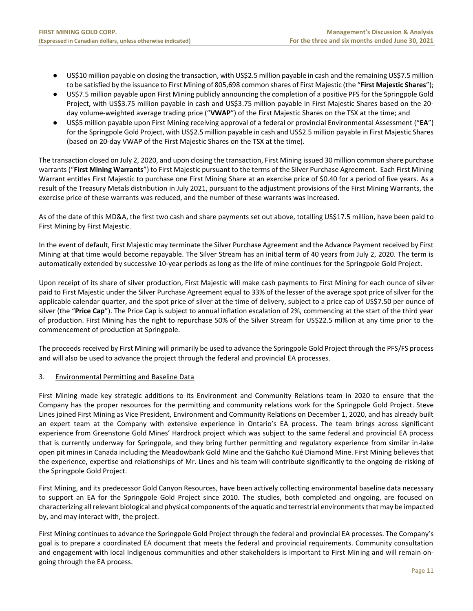- US\$10 million payable on closing the transaction, with US\$2.5 million payable in cash and the remaining US\$7.5 million to be satisfied by the issuance to First Mining of 805,698 common shares of First Majestic (the "**First Majestic Shares**");
- US\$7.5 million payable upon First Mining publicly announcing the completion of a positive PFS for the Springpole Gold Project, with US\$3.75 million payable in cash and US\$3.75 million payable in First Majestic Shares based on the 20 day volume-weighted average trading price ("**VWAP**") of the First Majestic Shares on the TSX at the time; and
- US\$5 million payable upon First Mining receiving approval of a federal or provincial Environmental Assessment ("**EA**") for the Springpole Gold Project, with US\$2.5 million payable in cash and US\$2.5 million payable in First Majestic Shares (based on 20-day VWAP of the First Majestic Shares on the TSX at the time).

The transaction closed on July 2, 2020, and upon closing the transaction, First Mining issued 30 million common share purchase warrants ("**First Mining Warrants**") to First Majestic pursuant to the terms of the Silver Purchase Agreement. Each First Mining Warrant entitles First Majestic to purchase one First Mining Share at an exercise price of \$0.40 for a period of five years. As a result of the Treasury Metals distribution in July 2021, pursuant to the adjustment provisions of the First Mining Warrants, the exercise price of these warrants was reduced, and the number of these warrants was increased.

As of the date of this MD&A, the first two cash and share payments set out above, totalling US\$17.5 million, have been paid to First Mining by First Majestic.

In the event of default, First Majestic may terminate the Silver Purchase Agreement and the Advance Payment received by First Mining at that time would become repayable. The Silver Stream has an initial term of 40 years from July 2, 2020. The term is automatically extended by successive 10-year periods as long as the life of mine continues for the Springpole Gold Project.

Upon receipt of its share of silver production, First Majestic will make cash payments to First Mining for each ounce of silver paid to First Majestic under the Silver Purchase Agreement equal to 33% of the lesser of the average spot price of silver for the applicable calendar quarter, and the spot price of silver at the time of delivery, subject to a price cap of US\$7.50 per ounce of silver (the "**Price Cap**"). The Price Cap is subject to annual inflation escalation of 2%, commencing at the start of the third year of production. First Mining has the right to repurchase 50% of the Silver Stream for US\$22.5 million at any time prior to the commencement of production at Springpole.

The proceeds received by First Mining will primarily be used to advance the Springpole Gold Project through the PFS/FS process and will also be used to advance the project through the federal and provincial EA processes.

# 3. Environmental Permitting and Baseline Data

First Mining made key strategic additions to its Environment and Community Relations team in 2020 to ensure that the Company has the proper resources for the permitting and community relations work for the Springpole Gold Project. Steve Lines joined First Mining as Vice President, Environment and Community Relations on December 1, 2020, and has already built an expert team at the Company with extensive experience in Ontario's EA process. The team brings across significant experience from Greenstone Gold Mines' Hardrock project which was subject to the same federal and provincial EA process that is currently underway for Springpole, and they bring further permitting and regulatory experience from similar in-lake open pit mines in Canada including the Meadowbank Gold Mine and the Gahcho Kué Diamond Mine. First Mining believes that the experience, expertise and relationships of Mr. Lines and his team will contribute significantly to the ongoing de-risking of the Springpole Gold Project.

First Mining, and its predecessor Gold Canyon Resources, have been actively collecting environmental baseline data necessary to support an EA for the Springpole Gold Project since 2010. The studies, both completed and ongoing, are focused on characterizing all relevant biological and physical components of the aquatic and terrestrial environments that may be impacted by, and may interact with, the project.

First Mining continues to advance the Springpole Gold Project through the federal and provincial EA processes. The Company's goal is to prepare a coordinated EA document that meets the federal and provincial requirements. Community consultation and engagement with local Indigenous communities and other stakeholders is important to First Mining and will remain ongoing through the EA process.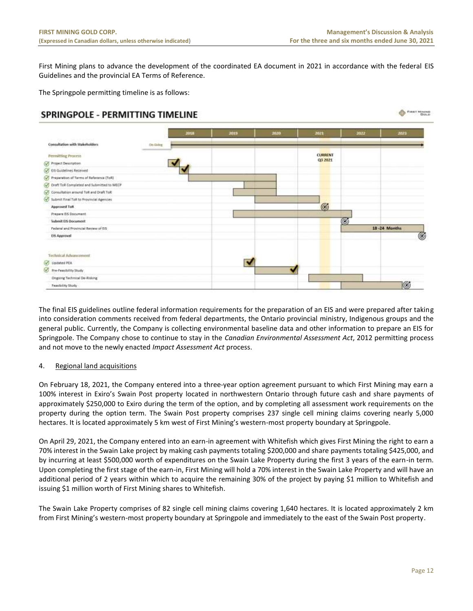**O FIRST MINING** 

First Mining plans to advance the development of the coordinated EA document in 2021 in accordance with the federal EIS Guidelines and the provincial EA Terms of Reference.

The Springpole permitting timeline is as follows:

# SPRINGPOLE - PERMITTING TIMELINE



The final EIS guidelines outline federal information requirements for the preparation of an EIS and were prepared after taking into consideration comments received from federal departments, the Ontario provincial ministry, Indigenous groups and the general public. Currently, the Company is collecting environmental baseline data and other information to prepare an EIS for Springpole. The Company chose to continue to stay in the *Canadian Environmental Assessment Act*, 2012 permitting process and not move to the newly enacted *Impact Assessment Act* process.

# 4. Regional land acquisitions

On February 18, 2021, the Company entered into a three-year option agreement pursuant to which First Mining may earn a 100% interest in Exiro's Swain Post property located in northwestern Ontario through future cash and share payments of approximately \$250,000 to Exiro during the term of the option, and by completing all assessment work requirements on the property during the option term. The Swain Post property comprises 237 single cell mining claims covering nearly 5,000 hectares. It is located approximately 5 km west of First Mining's western-most property boundary at Springpole.

On April 29, 2021, the Company entered into an earn-in agreement with Whitefish which gives First Mining the right to earn a 70% interest in the Swain Lake project by making cash payments totaling \$200,000 and share payments totaling \$425,000, and by incurring at least \$500,000 worth of expenditures on the Swain Lake Property during the first 3 years of the earn-in term. Upon completing the first stage of the earn-in, First Mining will hold a 70% interest in the Swain Lake Property and will have an additional period of 2 years within which to acquire the remaining 30% of the project by paying \$1 million to Whitefish and issuing \$1 million worth of First Mining shares to Whitefish.

The Swain Lake Property comprises of 82 single cell mining claims covering 1,640 hectares. It is located approximately 2 km from First Mining's western-most property boundary at Springpole and immediately to the east of the Swain Post property.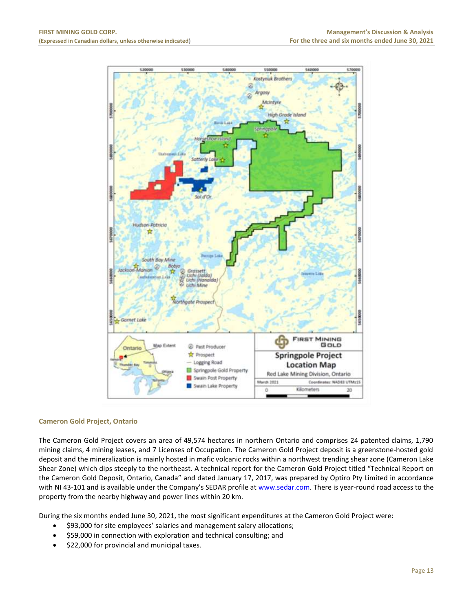

# **Cameron Gold Project, Ontario**

The Cameron Gold Project covers an area of 49,574 hectares in northern Ontario and comprises 24 patented claims, 1,790 mining claims, 4 mining leases, and 7 Licenses of Occupation. The Cameron Gold Project deposit is a greenstone‐hosted gold deposit and the mineralization is mainly hosted in mafic volcanic rocks within a northwest trending shear zone (Cameron Lake Shear Zone) which dips steeply to the northeast. A technical report for the Cameron Gold Project titled "Technical Report on the Cameron Gold Deposit, Ontario, Canada" and dated January 17, 2017, was prepared by Optiro Pty Limited in accordance with NI 43-101 and is available under the Company's SEDAR profile at [www.sedar.com.](http://www.sedar.com/) There is year-round road access to the property from the nearby highway and power lines within 20 km.

During the six months ended June 30, 2021, the most significant expenditures at the Cameron Gold Project were:

- \$93,000 for site employees' salaries and management salary allocations;
- \$59,000 in connection with exploration and technical consulting; and
- \$22,000 for provincial and municipal taxes.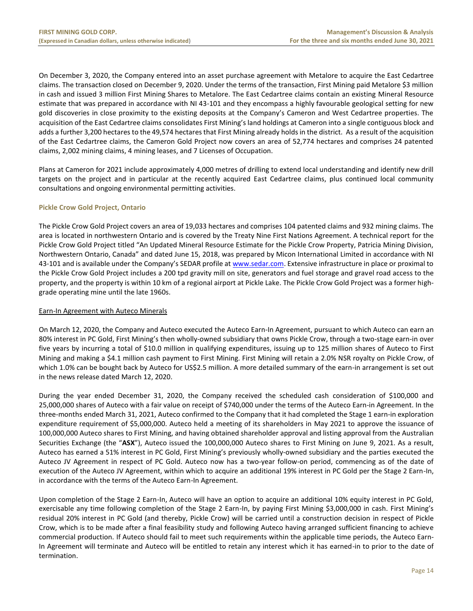On December 3, 2020, the Company entered into an asset purchase agreement with Metalore to acquire the East Cedartree claims. The transaction closed on December 9, 2020. Under the terms of the transaction, First Mining paid Metalore \$3 million in cash and issued 3 million First Mining Shares to Metalore. The East Cedartree claims contain an existing Mineral Resource estimate that was prepared in accordance with NI 43-101 and they encompass a highly favourable geological setting for new gold discoveries in close proximity to the existing deposits at the Company's Cameron and West Cedartree properties. The acquisition of the East Cedartree claims consolidates First Mining's land holdings at Cameron into a single contiguous block and adds a further 3,200 hectares to the 49,574 hectares that First Mining already holds in the district. As a result of the acquisition of the East Cedartree claims, the Cameron Gold Project now covers an area of 52,774 hectares and comprises 24 patented claims, 2,002 mining claims, 4 mining leases, and 7 Licenses of Occupation.

Plans at Cameron for 2021 include approximately 4,000 metres of drilling to extend local understanding and identify new drill targets on the project and in particular at the recently acquired East Cedartree claims, plus continued local community consultations and ongoing environmental permitting activities.

# **Pickle Crow Gold Project, Ontario**

The Pickle Crow Gold Project covers an area of 19,033 hectares and comprises 104 patented claims and 932 mining claims. The area is located in northwestern Ontario and is covered by the Treaty Nine First Nations Agreement. A technical report for the Pickle Crow Gold Project titled "An Updated Mineral Resource Estimate for the Pickle Crow Property, Patricia Mining Division, Northwestern Ontario, Canada" and dated June 15, 2018, was prepared by Micon International Limited in accordance with NI 43-101 and is available under the Company's SEDAR profile at [www.sedar.com.](http://www.sedar.com/) Extensive infrastructure in place or proximal to the Pickle Crow Gold Project includes a 200 tpd gravity mill on site, generators and fuel storage and gravel road access to the property, and the property is within 10 km of a regional airport at Pickle Lake. The Pickle Crow Gold Project was a former highgrade operating mine until the late 1960s.

# Earn-In Agreement with Auteco Minerals

On March 12, 2020, the Company and Auteco executed the Auteco Earn-In Agreement, pursuant to which Auteco can earn an 80% interest in PC Gold, First Mining's then wholly-owned subsidiary that owns Pickle Crow, through a two-stage earn-in over five years by incurring a total of \$10.0 million in qualifying expenditures, issuing up to 125 million shares of Auteco to First Mining and making a \$4.1 million cash payment to First Mining. First Mining will retain a 2.0% NSR royalty on Pickle Crow, of which 1.0% can be bought back by Auteco for US\$2.5 million. A more detailed summary of the earn-in arrangement is set out in the news release dated March 12, 2020.

During the year ended December 31, 2020, the Company received the scheduled cash consideration of \$100,000 and 25,000,000 shares of Auteco with a fair value on receipt of \$740,000 under the terms of the Auteco Earn-in Agreement. In the three-months ended March 31, 2021, Auteco confirmed to the Company that it had completed the Stage 1 earn-in exploration expenditure requirement of \$5,000,000. Auteco held a meeting of its shareholders in May 2021 to approve the issuance of 100,000,000 Auteco shares to First Mining, and having obtained shareholder approval and listing approval from the Australian Securities Exchange (the "**ASX**"), Auteco issued the 100,000,000 Auteco shares to First Mining on June 9, 2021. As a result, Auteco has earned a 51% interest in PC Gold, First Mining's previously wholly-owned subsidiary and the parties executed the Auteco JV Agreement in respect of PC Gold. Auteco now has a two-year follow-on period, commencing as of the date of execution of the Auteco JV Agreement, within which to acquire an additional 19% interest in PC Gold per the Stage 2 Earn-In, in accordance with the terms of the Auteco Earn-In Agreement.

Upon completion of the Stage 2 Earn-In, Auteco will have an option to acquire an additional 10% equity interest in PC Gold, exercisable any time following completion of the Stage 2 Earn-In, by paying First Mining \$3,000,000 in cash. First Mining's residual 20% interest in PC Gold (and thereby, Pickle Crow) will be carried until a construction decision in respect of Pickle Crow, which is to be made after a final feasibility study and following Auteco having arranged sufficient financing to achieve commercial production. If Auteco should fail to meet such requirements within the applicable time periods, the Auteco Earn-In Agreement will terminate and Auteco will be entitled to retain any interest which it has earned-in to prior to the date of termination.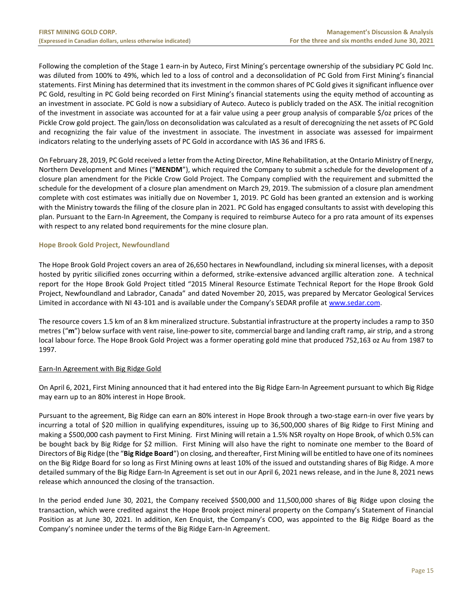Following the completion of the Stage 1 earn-in by Auteco, First Mining's percentage ownership of the subsidiary PC Gold Inc. was diluted from 100% to 49%, which led to a loss of control and a deconsolidation of PC Gold from First Mining's financial statements. First Mining has determined that its investment in the common shares of PC Gold gives it significant influence over PC Gold, resulting in PC Gold being recorded on First Mining's financial statements using the equity method of accounting as an investment in associate. PC Gold is now a subsidiary of Auteco. Auteco is publicly traded on the ASX. The initial recognition of the investment in associate was accounted for at a fair value using a peer group analysis of comparable \$/oz prices of the Pickle Crow gold project. The gain/loss on deconsolidation was calculated as a result of derecognizing the net assets of PC Gold and recognizing the fair value of the investment in associate. The investment in associate was assessed for impairment indicators relating to the underlying assets of PC Gold in accordance with IAS 36 and IFRS 6.

On February 28, 2019, PC Gold received a letter from the Acting Director, Mine Rehabilitation, at the Ontario Ministry of Energy, Northern Development and Mines ("**MENDM**"), which required the Company to submit a schedule for the development of a closure plan amendment for the Pickle Crow Gold Project. The Company complied with the requirement and submitted the schedule for the development of a closure plan amendment on March 29, 2019. The submission of a closure plan amendment complete with cost estimates was initially due on November 1, 2019. PC Gold has been granted an extension and is working with the Ministry towards the filing of the closure plan in 2021. PC Gold has engaged consultants to assist with developing this plan. Pursuant to the Earn-In Agreement, the Company is required to reimburse Auteco for a pro rata amount of its expenses with respect to any related bond requirements for the mine closure plan.

# **Hope Brook Gold Project, Newfoundland**

The Hope Brook Gold Project covers an area of 26,650 hectares in Newfoundland, including six mineral licenses, with a deposit hosted by pyritic silicified zones occurring within a deformed, strike-extensive advanced argillic alteration zone. A technical report for the Hope Brook Gold Project titled "2015 Mineral Resource Estimate Technical Report for the Hope Brook Gold Project, Newfoundland and Labrador, Canada" and dated November 20, 2015, was prepared by Mercator Geological Services Limited in accordance with NI 43-101 and is available under the Company's SEDAR profile at [www.sedar.com.](http://www.sedar.com/) 

The resource covers 1.5 km of an 8 km mineralized structure. Substantial infrastructure at the property includes a ramp to 350 metres ("**m**") below surface with vent raise, line-power to site, commercial barge and landing craft ramp, air strip, and a strong local labour force. The Hope Brook Gold Project was a former operating gold mine that produced 752,163 oz Au from 1987 to 1997.

# Earn-In Agreement with Big Ridge Gold

On April 6, 2021, First Mining announced that it had entered into the Big Ridge Earn-In Agreement pursuant to which Big Ridge may earn up to an 80% interest in Hope Brook.

Pursuant to the agreement, Big Ridge can earn an 80% interest in Hope Brook through a two-stage earn-in over five years by incurring a total of \$20 million in qualifying expenditures, issuing up to 36,500,000 shares of Big Ridge to First Mining and making a \$500,000 cash payment to First Mining. First Mining will retain a 1.5% NSR royalty on Hope Brook, of which 0.5% can be bought back by Big Ridge for \$2 million. First Mining will also have the right to nominate one member to the Board of Directors of Big Ridge (the "**Big Ridge Board**") on closing, and thereafter, First Mining will be entitled to have one of its nominees on the Big Ridge Board for so long as First Mining owns at least 10% of the issued and outstanding shares of Big Ridge. A more detailed summary of the Big Ridge Earn-In Agreement is set out in our April 6, 2021 news release, and in the June 8, 2021 news release which announced the closing of the transaction.

In the period ended June 30, 2021, the Company received \$500,000 and 11,500,000 shares of Big Ridge upon closing the transaction, which were credited against the Hope Brook project mineral property on the Company's Statement of Financial Position as at June 30, 2021. In addition, Ken Enquist, the Company's COO, was appointed to the Big Ridge Board as the Company's nominee under the terms of the Big Ridge Earn-In Agreement.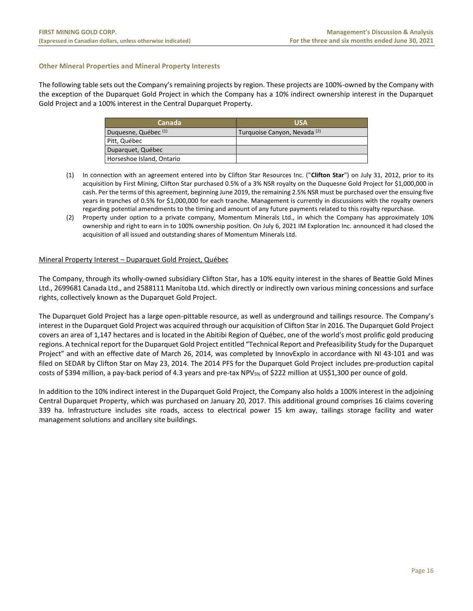# **Other Mineral Properties and Mineral Property Interests**

The following table sets out the Company's remaining projects by region. These projects are 100%-owned by the Company with the exception of the Duparquet Gold Project in which the Company has a 10% indirect ownership interest in the Duparquet Gold Project and a 100% interest in the Central Duparquet Property.

| Canada                          | <b>USA</b>                              |
|---------------------------------|-----------------------------------------|
| Duquesne, Québec <sup>(1)</sup> | Turquoise Canyon, Nevada <sup>(2)</sup> |
| Pitt, Québec                    |                                         |
| Duparquet, Québec               |                                         |
| Horseshoe Island, Ontario       |                                         |

- (1) In connection with an agreement entered into by Clifton Star Resources Inc. ("**Clifton Star**") on July 31, 2012, prior to its acquisition by First Mining, Clifton Star purchased 0.5% of a 3% NSR royalty on the Duquesne Gold Project for \$1,000,000 in cash. Per the terms of this agreement, beginning June 2019, the remaining 2.5% NSR must be purchased over the ensuing five years in tranches of 0.5% for \$1,000,000 for each tranche. Management is currently in discussions with the royalty owners regarding potential amendments to the timing and amount of any future payments related to this royalty repurchase.
- (2) Property under option to a private company, Momentum Minerals Ltd., in which the Company has approximately 10% ownership and right to earn in to 100% ownership position. On July 6, 2021 IM Exploration Inc. announced it had closed the acquisition of all issued and outstanding shares of Momentum Minerals Ltd.

# Mineral Property Interest – Duparquet Gold Project, Québec

The Company, through its wholly-owned subsidiary Clifton Star, has a 10% equity interest in the shares of Beattie Gold Mines Ltd., 2699681 Canada Ltd., and 2588111 Manitoba Ltd. which directly or indirectly own various mining concessions and surface rights, collectively known as the Duparquet Gold Project.

The Duparquet Gold Project has a large open-pittable resource, as well as underground and tailings resource. The Company's interest in the Duparquet Gold Project was acquired through our acquisition of Clifton Star in 2016. The Duparquet Gold Project covers an area of 1,147 hectares and is located in the Abitibi Region of Québec, one of the world's most prolific gold producing regions. A technical report for the Duparquet Gold Project entitled "Technical Report and Prefeasibility Study for the Duparquet Project" and with an effective date of March 26, 2014, was completed by InnovExplo in accordance with NI 43-101 and was filed on SEDAR by Clifton Star on May 23, 2014. The 2014 PFS for the Duparquet Gold Project includes pre-production capital costs of \$394 million, a pay-back period of 4.3 years and pre-tax NPV5% of \$222 million at US\$1,300 per ounce of gold.

In addition to the 10% indirect interest in the Duparquet Gold Project, the Company also holds a 100% interest in the adjoining Central Duparquet Property, which was purchased on January 20, 2017. This additional ground comprises 16 claims covering 339 ha. Infrastructure includes site roads, access to electrical power 15 km away, tailings storage facility and water management solutions and ancillary site buildings.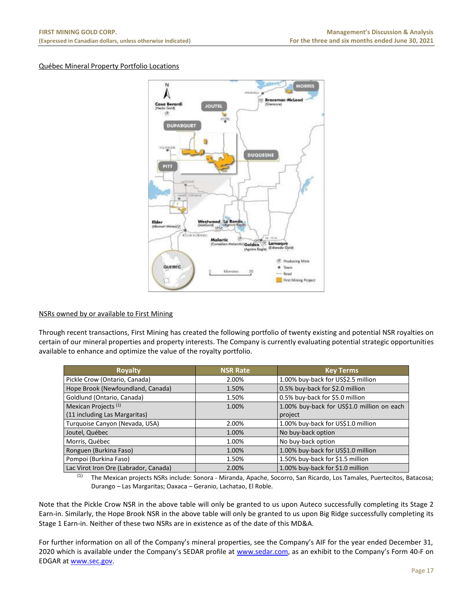# Québec Mineral Property Portfolio Locations



# NSRs owned by or available to First Mining

Through recent transactions, First Mining has created the following portfolio of twenty existing and potential NSR royalties on certain of our mineral properties and property interests. The Company is currently evaluating potential strategic opportunities available to enhance and optimize the value of the royalty portfolio.

| <b>Royalty</b>                        | <b>NSR Rate</b> | <b>Key Terms</b>                           |
|---------------------------------------|-----------------|--------------------------------------------|
| Pickle Crow (Ontario, Canada)         | 2.00%           | 1.00% buy-back for US\$2.5 million         |
| Hope Brook (Newfoundland, Canada)     | 1.50%           | 0.5% buy-back for \$2.0 million            |
| Goldlund (Ontario, Canada)            | 1.50%           | 0.5% buy-back for \$5.0 million            |
| Mexican Projects <sup>(1)</sup>       | 1.00%           | 1.00% buy-back for US\$1.0 million on each |
| (11 including Las Margaritas)         |                 | project                                    |
| Turquoise Canyon (Nevada, USA)        | 2.00%           | 1.00% buy-back for US\$1.0 million         |
| Joutel, Québec                        | 1.00%           | No buy-back option                         |
| Morris, Québec                        | 1.00%           | No buy-back option                         |
| Ronguen (Burkina Faso)                | 1.00%           | 1.00% buy-back for US\$1.0 million         |
| Pompoi (Burkina Faso)                 | 1.50%           | 1.50% buy-back for \$1.5 million           |
| Lac Virot Iron Ore (Labrador, Canada) | 2.00%           | 1.00% buy-back for \$1.0 million           |

(1) The Mexican projects NSRs include: Sonora - Miranda, Apache, Socorro, San Ricardo, Los Tamales, Puertecitos, Batacosa; Durango – Las Margaritas; Oaxaca – Geranio, Lachatao, El Roble.

Note that the Pickle Crow NSR in the above table will only be granted to us upon Auteco successfully completing its Stage 2 Earn-in. Similarly, the Hope Brook NSR in the above table will only be granted to us upon Big Ridge successfully completing its Stage 1 Earn-in. Neither of these two NSRs are in existence as of the date of this MD&A.

For further information on all of the Company's mineral properties, see the Company's AIF for the year ended December 31, 2020 which is available under the Company's SEDAR profile at [www.sedar.com,](http://www.sedar.com/) as an exhibit to the Company's Form 40-F on EDGAR a[t www.sec.gov.](http://www.sec.gov/)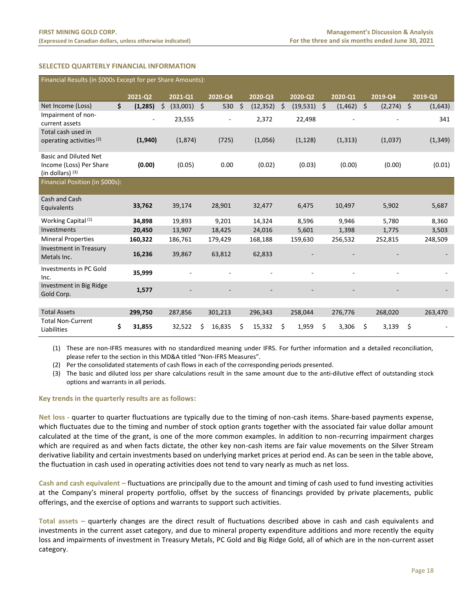# <span id="page-18-0"></span>**SELECTED QUARTERLY FINANCIAL INFORMATION**

| Financial Results (in \$000s Except for per Share Amounts): |    |                          |                |    |         |    |           |    |           |                |                     |          |         |          |
|-------------------------------------------------------------|----|--------------------------|----------------|----|---------|----|-----------|----|-----------|----------------|---------------------|----------|---------|----------|
|                                                             |    | 2021-02                  | 2021-Q1        |    | 2020-Q4 |    | 2020-Q3   |    | 2020-Q2   | 2020-Q1        |                     | 2019-Q4  |         | 2019-Q3  |
| Net Income (Loss)                                           | \$ | (1, 285)                 | Ś.<br>(33,001) | \$ | 530     | \$ | (12, 352) | \$ | (19, 531) | \$<br>(1, 462) | $\ddot{\mathsf{S}}$ | (2, 274) | $\zeta$ | (1,643)  |
| Impairment of non-                                          |    | $\overline{\phantom{a}}$ | 23,555         |    | $\sim$  |    | 2,372     |    | 22,498    |                |                     |          |         | 341      |
| current assets                                              |    |                          |                |    |         |    |           |    |           |                |                     |          |         |          |
| Total cash used in                                          |    |                          |                |    |         |    |           |    |           |                |                     |          |         |          |
| operating activities (2)                                    |    | (1,940)                  | (1,874)        |    | (725)   |    | (1,056)   |    | (1, 128)  | (1, 313)       |                     | (1,037)  |         | (1, 349) |
| <b>Basic and Diluted Net</b>                                |    |                          |                |    |         |    |           |    |           |                |                     |          |         |          |
| Income (Loss) Per Share                                     |    | (0.00)                   | (0.05)         |    | 0.00    |    | (0.02)    |    | (0.03)    | (0.00)         |                     | (0.00)   |         | (0.01)   |
| (in dollars) $(3)$                                          |    |                          |                |    |         |    |           |    |           |                |                     |          |         |          |
| Financial Position (in \$000s):                             |    |                          |                |    |         |    |           |    |           |                |                     |          |         |          |
| Cash and Cash                                               |    |                          |                |    |         |    |           |    |           |                |                     |          |         |          |
| Equivalents                                                 |    | 33,762                   | 39,174         |    | 28,901  |    | 32,477    |    | 6,475     | 10,497         |                     | 5,902    |         | 5,687    |
| Working Capital <sup>(1)</sup>                              |    | 34,898                   | 19,893         |    | 9,201   |    | 14,324    |    | 8,596     | 9,946          |                     | 5,780    |         | 8,360    |
| Investments                                                 |    | 20,450                   | 13,907         |    | 18,425  |    | 24,016    |    | 5,601     | 1,398          |                     | 1,775    |         | 3,503    |
| <b>Mineral Properties</b>                                   |    | 160,322                  | 186,761        |    | 179,429 |    | 168,188   |    | 159,630   | 256,532        |                     | 252,815  |         | 248,509  |
| <b>Investment in Treasury</b>                               |    |                          |                |    |         |    |           |    |           |                |                     |          |         |          |
| Metals Inc.                                                 |    | 16,236                   | 39,867         |    | 63,812  |    | 62,833    |    |           |                |                     |          |         |          |
| Investments in PC Gold<br>Inc.                              |    | 35,999                   |                |    |         |    |           |    |           |                |                     |          |         |          |
| Investment in Big Ridge                                     |    | 1,577                    |                |    |         |    |           |    |           |                |                     |          |         |          |
| Gold Corp.                                                  |    |                          |                |    |         |    |           |    |           |                |                     |          |         |          |
|                                                             |    |                          |                |    |         |    |           |    |           |                |                     |          |         |          |
| <b>Total Assets</b>                                         |    | 299,750                  | 287,856        |    | 301,213 |    | 296,343   |    | 258,044   | 276,776        |                     | 268,020  |         | 263,470  |
| <b>Total Non-Current</b><br>Liabilities                     | \$ | 31,855                   | 32,522         | \$ | 16,835  | \$ | 15,332    | \$ | 1,959     | \$<br>3,306    | \$                  | 3,139    | \$      |          |

(1) These are non-IFRS measures with no standardized meaning under IFRS. For further information and a detailed reconciliation, please refer to the section in this MD&A titled "Non-IFRS Measures".

(2) Per the consolidated statements of cash flows in each of the corresponding periods presented.

(3) The basic and diluted loss per share calculations result in the same amount due to the anti‐dilutive effect of outstanding stock options and warrants in all periods.

# **Key trends in the quarterly results are as follows:**

**Net loss -** quarter to quarter fluctuations are typically due to the timing of non-cash items. Share-based payments expense, which fluctuates due to the timing and number of stock option grants together with the associated fair value dollar amount calculated at the time of the grant, is one of the more common examples. In addition to non-recurring impairment charges which are required as and when facts dictate, the other key non-cash items are fair value movements on the Silver Stream derivative liability and certain investments based on underlying market prices at period end. As can be seen in the table above, the fluctuation in cash used in operating activities does not tend to vary nearly as much as net loss.

**Cash and cash equivalent –** fluctuations are principally due to the amount and timing of cash used to fund investing activities at the Company's mineral property portfolio, offset by the success of financings provided by private placements, public offerings, and the exercise of options and warrants to support such activities.

**Total assets –** quarterly changes are the direct result of fluctuations described above in cash and cash equivalents and investments in the current asset category, and due to mineral property expenditure additions and more recently the equity loss and impairments of investment in Treasury Metals, PC Gold and Big Ridge Gold, all of which are in the non-current asset category.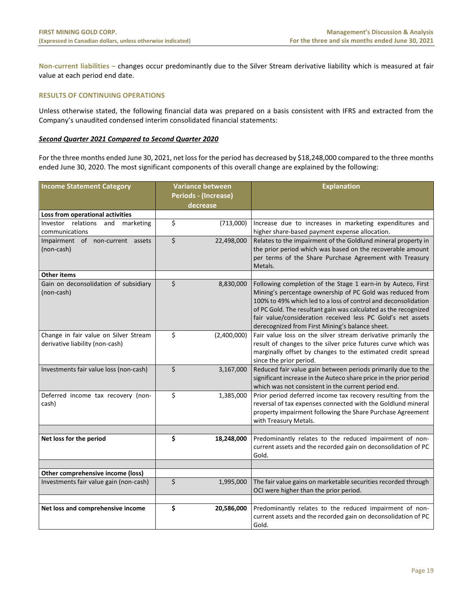**Non-current liabilities –** changes occur predominantly due to the Silver Stream derivative liability which is measured at fair value at each period end date.

# <span id="page-19-0"></span>**RESULTS OF CONTINUING OPERATIONS**

Unless otherwise stated, the following financial data was prepared on a basis consistent with IFRS and extracted from the Company's unaudited condensed interim consolidated financial statements:

# *Second Quarter 2021 Compared to Second Quarter 2020*

For the three months ended June 30, 2021, net loss for the period has decreased by \$18,248,000 compared to the three months ended June 30, 2020. The most significant components of this overall change are explained by the following:

| <b>Income Statement Category</b>                                         | <b>Variance between</b> |             | <b>Explanation</b>                                                                                                                                                                                                                                                                                                                                                               |  |  |  |
|--------------------------------------------------------------------------|-------------------------|-------------|----------------------------------------------------------------------------------------------------------------------------------------------------------------------------------------------------------------------------------------------------------------------------------------------------------------------------------------------------------------------------------|--|--|--|
|                                                                          | Periods - (Increase)    |             |                                                                                                                                                                                                                                                                                                                                                                                  |  |  |  |
|                                                                          | decrease                |             |                                                                                                                                                                                                                                                                                                                                                                                  |  |  |  |
| Loss from operational activities                                         |                         |             |                                                                                                                                                                                                                                                                                                                                                                                  |  |  |  |
| Investor relations<br>and<br>marketing                                   | \$                      | (713,000)   | Increase due to increases in marketing expenditures and                                                                                                                                                                                                                                                                                                                          |  |  |  |
| communications                                                           |                         |             | higher share-based payment expense allocation.                                                                                                                                                                                                                                                                                                                                   |  |  |  |
| Impairment of non-current assets<br>(non-cash)                           | \$                      | 22,498,000  | Relates to the impairment of the Goldlund mineral property in<br>the prior period which was based on the recoverable amount<br>per terms of the Share Purchase Agreement with Treasury<br>Metals.                                                                                                                                                                                |  |  |  |
| <b>Other items</b>                                                       |                         |             |                                                                                                                                                                                                                                                                                                                                                                                  |  |  |  |
| Gain on deconsolidation of subsidiary<br>(non-cash)                      | \$                      | 8,830,000   | Following completion of the Stage 1 earn-in by Auteco, First<br>Mining's percentage ownership of PC Gold was reduced from<br>100% to 49% which led to a loss of control and deconsolidation<br>of PC Gold. The resultant gain was calculated as the recognized<br>fair value/consideration received less PC Gold's net assets<br>derecognized from First Mining's balance sheet. |  |  |  |
| Change in fair value on Silver Stream<br>derivative liability (non-cash) | \$                      | (2,400,000) | Fair value loss on the silver stream derivative primarily the<br>result of changes to the silver price futures curve which was<br>marginally offset by changes to the estimated credit spread<br>since the prior period.                                                                                                                                                         |  |  |  |
| Investments fair value loss (non-cash)                                   | \$                      | 3,167,000   | Reduced fair value gain between periods primarily due to the<br>significant increase in the Auteco share price in the prior period<br>which was not consistent in the current period end.                                                                                                                                                                                        |  |  |  |
| Deferred income tax recovery (non-<br>cash)                              | \$                      | 1,385,000   | Prior period deferred income tax recovery resulting from the<br>reversal of tax expenses connected with the Goldlund mineral<br>property impairment following the Share Purchase Agreement<br>with Treasury Metals.                                                                                                                                                              |  |  |  |
|                                                                          |                         |             |                                                                                                                                                                                                                                                                                                                                                                                  |  |  |  |
| Net loss for the period                                                  | \$                      | 18,248,000  | Predominantly relates to the reduced impairment of non-<br>current assets and the recorded gain on deconsolidation of PC<br>Gold.                                                                                                                                                                                                                                                |  |  |  |
|                                                                          |                         |             |                                                                                                                                                                                                                                                                                                                                                                                  |  |  |  |
| Other comprehensive income (loss)                                        |                         |             |                                                                                                                                                                                                                                                                                                                                                                                  |  |  |  |
| Investments fair value gain (non-cash)                                   | \$                      | 1,995,000   | The fair value gains on marketable securities recorded through<br>OCI were higher than the prior period.                                                                                                                                                                                                                                                                         |  |  |  |
| Net loss and comprehensive income                                        | \$                      | 20,586,000  | Predominantly relates to the reduced impairment of non-                                                                                                                                                                                                                                                                                                                          |  |  |  |
|                                                                          |                         |             | current assets and the recorded gain on deconsolidation of PC<br>Gold.                                                                                                                                                                                                                                                                                                           |  |  |  |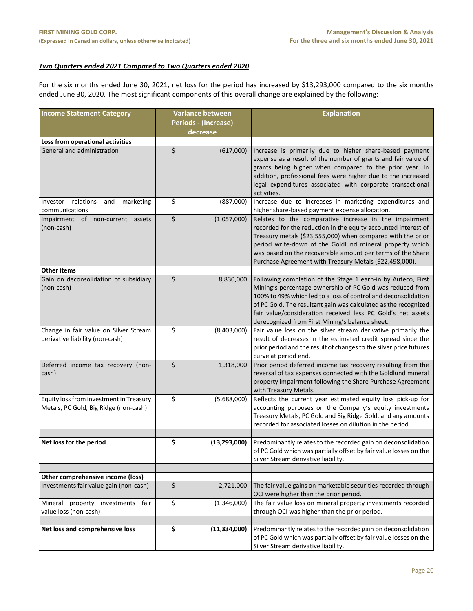# *Two Quarters ended 2021 Compared to Two Quarters ended 2020*

For the six months ended June 30, 2021, net loss for the period has increased by \$13,293,000 compared to the six months ended June 30, 2020. The most significant components of this overall change are explained by the following:

<span id="page-20-0"></span>

| <b>Income Statement Category</b>                                                 | <b>Variance between</b>          |                | <b>Explanation</b>                                                                                                                                                                                                                                                                                                                                                               |  |  |  |
|----------------------------------------------------------------------------------|----------------------------------|----------------|----------------------------------------------------------------------------------------------------------------------------------------------------------------------------------------------------------------------------------------------------------------------------------------------------------------------------------------------------------------------------------|--|--|--|
|                                                                                  | Periods - (Increase)<br>decrease |                |                                                                                                                                                                                                                                                                                                                                                                                  |  |  |  |
| Loss from operational activities                                                 |                                  |                |                                                                                                                                                                                                                                                                                                                                                                                  |  |  |  |
| General and administration                                                       | \$                               | (617,000)      | Increase is primarily due to higher share-based payment<br>expense as a result of the number of grants and fair value of<br>grants being higher when compared to the prior year. In<br>addition, professional fees were higher due to the increased<br>legal expenditures associated with corporate transactional<br>activities.                                                 |  |  |  |
| relations<br>Investor<br>and<br>marketing<br>communications                      | \$                               | (887,000)      | Increase due to increases in marketing expenditures and<br>higher share-based payment expense allocation.                                                                                                                                                                                                                                                                        |  |  |  |
| Impairment of non-current assets<br>(non-cash)                                   | \$                               | (1,057,000)    | Relates to the comparative increase in the impairment<br>recorded for the reduction in the equity accounted interest of<br>Treasury metals (\$23,555,000) when compared with the prior<br>period write-down of the Goldlund mineral property which<br>was based on the recoverable amount per terms of the Share<br>Purchase Agreement with Treasury Metals (\$22,498,000).      |  |  |  |
| <b>Other items</b>                                                               |                                  |                |                                                                                                                                                                                                                                                                                                                                                                                  |  |  |  |
| Gain on deconsolidation of subsidiary<br>(non-cash)                              | \$                               | 8,830,000      | Following completion of the Stage 1 earn-in by Auteco, First<br>Mining's percentage ownership of PC Gold was reduced from<br>100% to 49% which led to a loss of control and deconsolidation<br>of PC Gold. The resultant gain was calculated as the recognized<br>fair value/consideration received less PC Gold's net assets<br>derecognized from First Mining's balance sheet. |  |  |  |
| Change in fair value on Silver Stream<br>derivative liability (non-cash)         | \$                               | (8,403,000)    | Fair value loss on the silver stream derivative primarily the<br>result of decreases in the estimated credit spread since the<br>prior period and the result of changes to the silver price futures<br>curve at period end.                                                                                                                                                      |  |  |  |
| Deferred income tax recovery (non-<br>cash)                                      | \$                               | 1,318,000      | Prior period deferred income tax recovery resulting from the<br>reversal of tax expenses connected with the Goldlund mineral<br>property impairment following the Share Purchase Agreement<br>with Treasury Metals.                                                                                                                                                              |  |  |  |
| Equity loss from investment in Treasury<br>Metals, PC Gold, Big Ridge (non-cash) | \$                               | (5,688,000)    | Reflects the current year estimated equity loss pick-up for<br>accounting purposes on the Company's equity investments<br>Treasury Metals, PC Gold and Big Ridge Gold, and any amounts<br>recorded for associated losses on dilution in the period.                                                                                                                              |  |  |  |
| Net loss for the period                                                          | \$                               | (13, 293, 000) | Predominantly relates to the recorded gain on deconsolidation<br>of PC Gold which was partially offset by fair value losses on the<br>Silver Stream derivative liability.                                                                                                                                                                                                        |  |  |  |
|                                                                                  |                                  |                |                                                                                                                                                                                                                                                                                                                                                                                  |  |  |  |
| Other comprehensive income (loss)<br>Investments fair value gain (non-cash)      | \$                               |                | The fair value gains on marketable securities recorded through                                                                                                                                                                                                                                                                                                                   |  |  |  |
|                                                                                  |                                  | 2,721,000      | OCI were higher than the prior period.                                                                                                                                                                                                                                                                                                                                           |  |  |  |
| Mineral property investments fair<br>value loss (non-cash)                       | \$                               | (1,346,000)    | The fair value loss on mineral property investments recorded<br>through OCI was higher than the prior period.                                                                                                                                                                                                                                                                    |  |  |  |
| Net loss and comprehensive loss                                                  | \$                               | (11, 334, 000) | Predominantly relates to the recorded gain on deconsolidation<br>of PC Gold which was partially offset by fair value losses on the<br>Silver Stream derivative liability.                                                                                                                                                                                                        |  |  |  |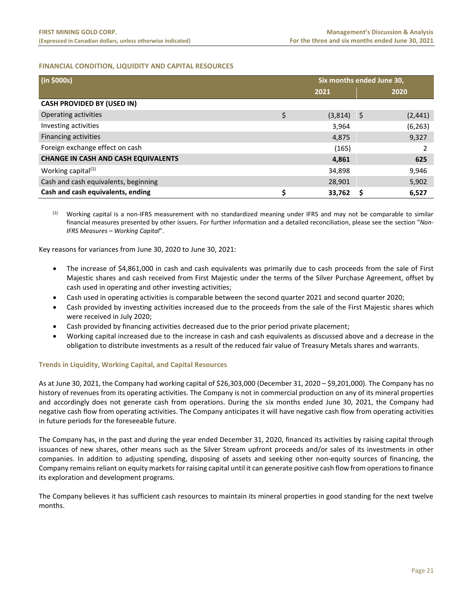# **FINANCIAL CONDITION, LIQUIDITY AND CAPITAL RESOURCES**

| (in \$000s)                                |    | Six months ended June 30, |     |          |  |
|--------------------------------------------|----|---------------------------|-----|----------|--|
|                                            |    | 2021                      |     | 2020     |  |
| <b>CASH PROVIDED BY (USED IN)</b>          |    |                           |     |          |  |
| Operating activities                       | \$ | (3,814)                   | -\$ | (2, 441) |  |
| Investing activities                       |    | 3,964                     |     | (6, 263) |  |
| Financing activities                       |    | 4,875                     |     | 9,327    |  |
| Foreign exchange effect on cash            |    | (165)                     |     |          |  |
| <b>CHANGE IN CASH AND CASH EQUIVALENTS</b> |    | 4,861                     |     | 625      |  |
| Working capital <sup>(1)</sup>             |    | 34,898                    |     | 9,946    |  |
| Cash and cash equivalents, beginning       |    | 28,901                    |     | 5,902    |  |
| Cash and cash equivalents, ending          | Ś  | 33,762                    |     | 6,527    |  |

 $<sup>(1)</sup>$  Working capital is a non-IFRS measurement with no standardized meaning under IFRS and may not be comparable to similar</sup> financial measures presented by other issuers. For further information and a detailed reconciliation, please see the section "*Non-IFRS Measures – Working Capital*".

Key reasons for variances from June 30, 2020 to June 30, 2021:

- The increase of \$4,861,000 in cash and cash equivalents was primarily due to cash proceeds from the sale of First Majestic shares and cash received from First Majestic under the terms of the Silver Purchase Agreement, offset by cash used in operating and other investing activities;
- Cash used in operating activities is comparable between the second quarter 2021 and second quarter 2020;
- Cash provided by investing activities increased due to the proceeds from the sale of the First Majestic shares which were received in July 2020;
- Cash provided by financing activities decreased due to the prior period private placement;
- Working capital increased due to the increase in cash and cash equivalents as discussed above and a decrease in the obligation to distribute investments as a result of the reduced fair value of Treasury Metals shares and warrants.

# **Trends in Liquidity, Working Capital, and Capital Resources**

As at June 30, 2021, the Company had working capital of \$26,303,000 (December 31, 2020 – \$9,201,000). The Company has no history of revenues from its operating activities. The Company is not in commercial production on any of its mineral properties and accordingly does not generate cash from operations. During the six months ended June 30, 2021, the Company had negative cash flow from operating activities. The Company anticipates it will have negative cash flow from operating activities in future periods for the foreseeable future.

The Company has, in the past and during the year ended December 31, 2020, financed its activities by raising capital through issuances of new shares, other means such as the Silver Stream upfront proceeds and/or sales of its investments in other companies. In addition to adjusting spending, disposing of assets and seeking other non-equity sources of financing, the Company remains reliant on equity markets for raising capital until it can generate positive cash flow from operations to finance its exploration and development programs.

The Company believes it has sufficient cash resources to maintain its mineral properties in good standing for the next twelve months.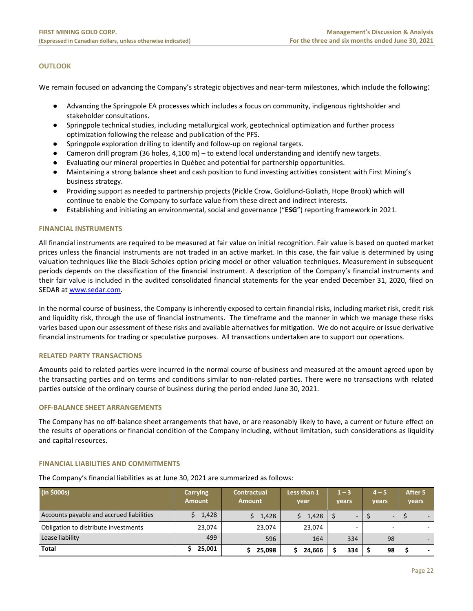# **OUTLOOK**

We remain focused on advancing the Company's strategic objectives and near-term milestones, which include the following:

- Advancing the Springpole EA processes which includes a focus on community, indigenous rightsholder and stakeholder consultations.
- Springpole technical studies, including metallurgical work, geotechnical optimization and further process optimization following the release and publication of the PFS.
- Springpole exploration drilling to identify and follow-up on regional targets.
- Cameron drill program (36 holes, 4,100 m) to extend local understanding and identify new targets.
- Evaluating our mineral properties in Québec and potential for partnership opportunities.
- Maintaining a strong balance sheet and cash position to fund investing activities consistent with First Mining's business strategy.
- Providing support as needed to partnership projects (Pickle Crow, Goldlund-Goliath, Hope Brook) which will continue to enable the Company to surface value from these direct and indirect interests.
- Establishing and initiating an environmental, social and governance ("**ESG**") reporting framework in 2021.

# <span id="page-22-0"></span>**FINANCIAL INSTRUMENTS**

All financial instruments are required to be measured at fair value on initial recognition. Fair value is based on quoted market prices unless the financial instruments are not traded in an active market. In this case, the fair value is determined by using valuation techniques like the Black-Scholes option pricing model or other valuation techniques. Measurement in subsequent periods depends on the classification of the financial instrument. A description of the Company's financial instruments and their fair value is included in the audited consolidated financial statements for the year ended December 31, 2020, filed on SEDAR at www.sedar.com.

In the normal course of business, the Company is inherently exposed to certain financial risks, including market risk, credit risk and liquidity risk, through the use of financial instruments. The timeframe and the manner in which we manage these risks varies based upon our assessment of these risks and available alternatives for mitigation. We do not acquire or issue derivative financial instruments for trading or speculative purposes. All transactions undertaken are to support our operations.

#### <span id="page-22-1"></span>**RELATED PARTY TRANSACTIONS**

Amounts paid to related parties were incurred in the normal course of business and measured at the amount agreed upon by the transacting parties and on terms and conditions similar to non-related parties. There were no transactions with related parties outside of the ordinary course of business during the period ended June 30, 2021.

# <span id="page-22-2"></span>**OFF-BALANCE SHEET ARRANGEMENTS**

The Company has no off-balance sheet arrangements that have, or are reasonably likely to have, a current or future effect on the results of operations or financial condition of the Company including, without limitation, such considerations as liquidity and capital resources.

#### **FINANCIAL LIABILITIES AND COMMITMENTS**

The Company's financial liabilities as at June 30, 2021 are summarized as follows:

<span id="page-22-3"></span>

| (in \$000s)                              | <b>Carrying</b><br><b>Amount</b> | <b>Contractual</b><br><b>Amount</b> | Less than 1<br>year | $1 - 3$<br>vears         | $4 - 5$<br>vears | After 5<br>vears |
|------------------------------------------|----------------------------------|-------------------------------------|---------------------|--------------------------|------------------|------------------|
| Accounts payable and accrued liabilities | 1,428                            | 1,428                               | 1,428               | $\overline{\phantom{a}}$ | -                |                  |
| Obligation to distribute investments     | 23.074                           | 23.074                              | 23.074              | -                        |                  |                  |
| Lease liability                          | 499                              | 596                                 | 164                 | 334                      | 98               |                  |
| <b>Total</b>                             | 25,001                           | 25,098                              | 24,666              | 334                      | 98               |                  |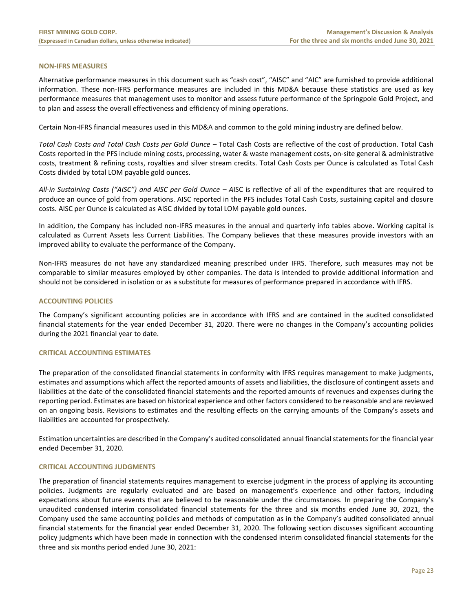# **NON-IFRS MEASURES**

Alternative performance measures in this document such as "cash cost", "AISC" and "AIC" are furnished to provide additional information. These non-IFRS performance measures are included in this MD&A because these statistics are used as key performance measures that management uses to monitor and assess future performance of the Springpole Gold Project, and to plan and assess the overall effectiveness and efficiency of mining operations.

Certain Non-IFRS financial measures used in this MD&A and common to the gold mining industry are defined below.

*Total Cash Costs and Total Cash Costs per Gold Ounce –* Total Cash Costs are reflective of the cost of production. Total Cash Costs reported in the PFS include mining costs, processing, water & waste management costs, on-site general & administrative costs, treatment & refining costs, royalties and silver stream credits. Total Cash Costs per Ounce is calculated as Total Cash Costs divided by total LOM payable gold ounces.

*All-in Sustaining Costs ("AISC") and AISC per Gold Ounce – A*ISC is reflective of all of the expenditures that are required to produce an ounce of gold from operations. AISC reported in the PFS includes Total Cash Costs, sustaining capital and closure costs. AISC per Ounce is calculated as AISC divided by total LOM payable gold ounces.

In addition, the Company has included non-IFRS measures in the annual and quarterly info tables above. Working capital is calculated as Current Assets less Current Liabilities. The Company believes that these measures provide investors with an improved ability to evaluate the performance of the Company.

Non-IFRS measures do not have any standardized meaning prescribed under IFRS. Therefore, such measures may not be comparable to similar measures employed by other companies. The data is intended to provide additional information and should not be considered in isolation or as a substitute for measures of performance prepared in accordance with IFRS.

# <span id="page-23-0"></span>**ACCOUNTING POLICIES**

The Company's significant accounting policies are in accordance with IFRS and are contained in the audited consolidated financial statements for the year ended December 31, 2020. There were no changes in the Company's accounting policies during the 2021 financial year to date.

# <span id="page-23-1"></span>**CRITICAL ACCOUNTING ESTIMATES**

The preparation of the consolidated financial statements in conformity with IFRS requires management to make judgments, estimates and assumptions which affect the reported amounts of assets and liabilities, the disclosure of contingent assets and liabilities at the date of the consolidated financial statements and the reported amounts of revenues and expenses during the reporting period. Estimates are based on historical experience and other factors considered to be reasonable and are reviewed on an ongoing basis. Revisions to estimates and the resulting effects on the carrying amounts of the Company's assets and liabilities are accounted for prospectively.

Estimation uncertainties are described in the Company's audited consolidated annual financial statements for the financial year ended December 31, 2020.

# <span id="page-23-2"></span>**CRITICAL ACCOUNTING JUDGMENTS**

The preparation of financial statements requires management to exercise judgment in the process of applying its accounting policies. Judgments are regularly evaluated and are based on management's experience and other factors, including expectations about future events that are believed to be reasonable under the circumstances. In preparing the Company's unaudited condensed interim consolidated financial statements for the three and six months ended June 30, 2021, the Company used the same accounting policies and methods of computation as in the Company's audited consolidated annual financial statements for the financial year ended December 31, 2020. The following section discusses significant accounting policy judgments which have been made in connection with the condensed interim consolidated financial statements for the three and six months period ended June 30, 2021: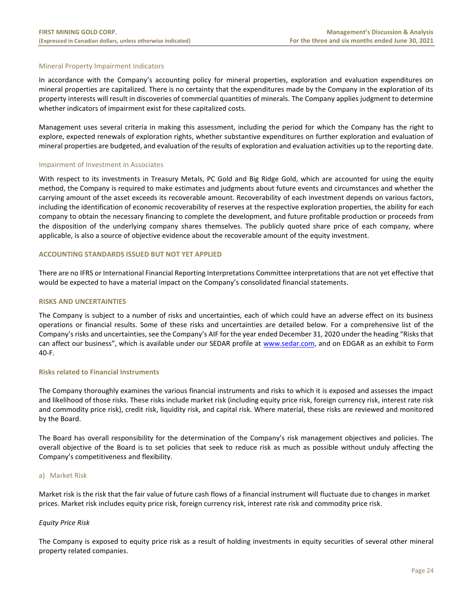# Mineral Property Impairment Indicators

In accordance with the Company's accounting policy for mineral properties, exploration and evaluation expenditures on mineral properties are capitalized. There is no certainty that the expenditures made by the Company in the exploration of its property interests will result in discoveries of commercial quantities of minerals. The Company applies judgment to determine whether indicators of impairment exist for these capitalized costs.

Management uses several criteria in making this assessment, including the period for which the Company has the right to explore, expected renewals of exploration rights, whether substantive expenditures on further exploration and evaluation of mineral properties are budgeted, and evaluation of the results of exploration and evaluation activities up to the reporting date.

# Impairment of Investment in Associates

With respect to its investments in Treasury Metals, PC Gold and Big Ridge Gold, which are accounted for using the equity method, the Company is required to make estimates and judgments about future events and circumstances and whether the carrying amount of the asset exceeds its recoverable amount. Recoverability of each investment depends on various factors, including the identification of economic recoverability of reserves at the respective exploration properties, the ability for each company to obtain the necessary financing to complete the development, and future profitable production or proceeds from the disposition of the underlying company shares themselves. The publicly quoted share price of each company, where applicable, is also a source of objective evidence about the recoverable amount of the equity investment.

# <span id="page-24-0"></span>**ACCOUNTING STANDARDS ISSUED BUT NOT YET APPLIED**

There are no IFRS or International Financial Reporting Interpretations Committee interpretations that are not yet effective that would be expected to have a material impact on the Company's consolidated financial statements.

# <span id="page-24-1"></span>**RISKS AND UNCERTAINTIES**

The Company is subject to a number of risks and uncertainties, each of which could have an adverse effect on its business operations or financial results. Some of these risks and uncertainties are detailed below. For a comprehensive list of the Company's risks and uncertainties, see the Company's AIF for the year ended December 31, 2020 under the heading "Risks that can affect our business", which is available under our SEDAR profile at [www.sedar.com,](http://www.sedar.com/) and on EDGAR as an exhibit to Form 40-F.

# **Risks related to Financial Instruments**

The Company thoroughly examines the various financial instruments and risks to which it is exposed and assesses the impact and likelihood of those risks. These risks include market risk (including equity price risk, foreign currency risk, interest rate risk and commodity price risk), credit risk, liquidity risk, and capital risk. Where material, these risks are reviewed and monitored by the Board.

The Board has overall responsibility for the determination of the Company's risk management objectives and policies. The overall objective of the Board is to set policies that seek to reduce risk as much as possible without unduly affecting the Company's competitiveness and flexibility.

# a) Market Risk

Market risk is the risk that the fair value of future cash flows of a financial instrument will fluctuate due to changes in market prices. Market risk includes equity price risk, foreign currency risk, interest rate risk and commodity price risk.

# *Equity Price Risk*

The Company is exposed to equity price risk as a result of holding investments in equity securities of several other mineral property related companies.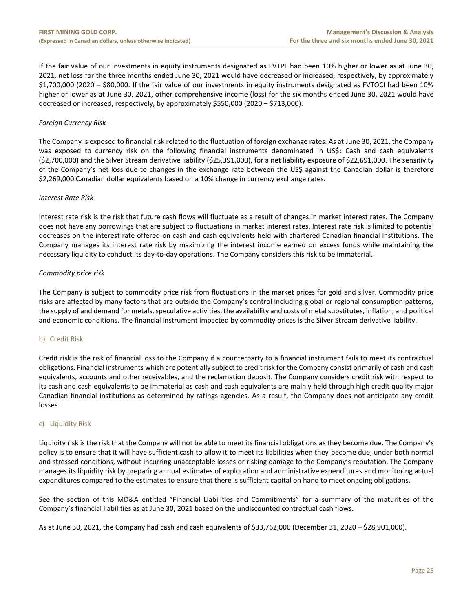If the fair value of our investments in equity instruments designated as FVTPL had been 10% higher or lower as at June 30, 2021, net loss for the three months ended June 30, 2021 would have decreased or increased, respectively, by approximately \$1,700,000 (2020 – \$80,000. If the fair value of our investments in equity instruments designated as FVTOCI had been 10% higher or lower as at June 30, 2021, other comprehensive income (loss) for the six months ended June 30, 2021 would have decreased or increased, respectively, by approximately \$550,000 (2020 – \$713,000).

# *Foreign Currency Risk*

The Company is exposed to financial risk related to the fluctuation of foreign exchange rates. As at June 30, 2021, the Company was exposed to currency risk on the following financial instruments denominated in US\$: Cash and cash equivalents (\$2,700,000) and the Silver Stream derivative liability (\$25,391,000), for a net liability exposure of \$22,691,000. The sensitivity of the Company's net loss due to changes in the exchange rate between the US\$ against the Canadian dollar is therefore \$2,269,000 Canadian dollar equivalents based on a 10% change in currency exchange rates.

# *Interest Rate Risk*

Interest rate risk is the risk that future cash flows will fluctuate as a result of changes in market interest rates. The Company does not have any borrowings that are subject to fluctuations in market interest rates. Interest rate risk is limited to potential decreases on the interest rate offered on cash and cash equivalents held with chartered Canadian financial institutions. The Company manages its interest rate risk by maximizing the interest income earned on excess funds while maintaining the necessary liquidity to conduct its day-to-day operations. The Company considers this risk to be immaterial.

# *Commodity price risk*

The Company is subject to commodity price risk from fluctuations in the market prices for gold and silver. Commodity price risks are affected by many factors that are outside the Company's control including global or regional consumption patterns, the supply of and demand for metals, speculative activities, the availability and costs of metal substitutes, inflation, and political and economic conditions. The financial instrument impacted by commodity prices is the Silver Stream derivative liability.

# b) Credit Risk

Credit risk is the risk of financial loss to the Company if a counterparty to a financial instrument fails to meet its contractual obligations. Financial instruments which are potentially subject to credit risk for the Company consist primarily of cash and cash equivalents, accounts and other receivables, and the reclamation deposit. The Company considers credit risk with respect to its cash and cash equivalents to be immaterial as cash and cash equivalents are mainly held through high credit quality major Canadian financial institutions as determined by ratings agencies. As a result, the Company does not anticipate any credit losses.

# c) Liquidity Risk

Liquidity risk is the risk that the Company will not be able to meet its financial obligations as they become due. The Company's policy is to ensure that it will have sufficient cash to allow it to meet its liabilities when they become due, under both normal and stressed conditions, without incurring unacceptable losses or risking damage to the Company's reputation. The Company manages its liquidity risk by preparing annual estimates of exploration and administrative expenditures and monitoring actual expenditures compared to the estimates to ensure that there is sufficient capital on hand to meet ongoing obligations.

See the section of this MD&A entitled "Financial Liabilities and Commitments" for a summary of the maturities of the Company's financial liabilities as at June 30, 2021 based on the undiscounted contractual cash flows.

As at June 30, 2021, the Company had cash and cash equivalents of \$33,762,000 (December 31, 2020 – \$28,901,000).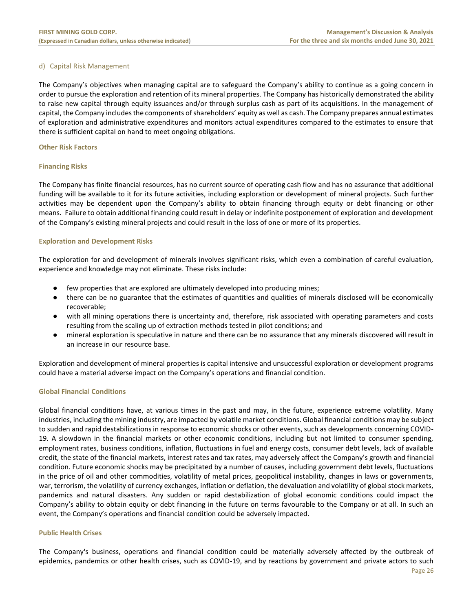# d) Capital Risk Management

The Company's objectives when managing capital are to safeguard the Company's ability to continue as a going concern in order to pursue the exploration and retention of its mineral properties. The Company has historically demonstrated the ability to raise new capital through equity issuances and/or through surplus cash as part of its acquisitions. In the management of capital, the Company includes the components of shareholders' equity as well as cash. The Company prepares annual estimates of exploration and administrative expenditures and monitors actual expenditures compared to the estimates to ensure that there is sufficient capital on hand to meet ongoing obligations.

# **Other Risk Factors**

# **Financing Risks**

The Company has finite financial resources, has no current source of operating cash flow and has no assurance that additional funding will be available to it for its future activities, including exploration or development of mineral projects. Such further activities may be dependent upon the Company's ability to obtain financing through equity or debt financing or other means. Failure to obtain additional financing could result in delay or indefinite postponement of exploration and development of the Company's existing mineral projects and could result in the loss of one or more of its properties.

# **Exploration and Development Risks**

The exploration for and development of minerals involves significant risks, which even a combination of careful evaluation, experience and knowledge may not eliminate. These risks include:

- few properties that are explored are ultimately developed into producing mines;
- there can be no guarantee that the estimates of quantities and qualities of minerals disclosed will be economically recoverable;
- with all mining operations there is uncertainty and, therefore, risk associated with operating parameters and costs resulting from the scaling up of extraction methods tested in pilot conditions; and
- mineral exploration is speculative in nature and there can be no assurance that any minerals discovered will result in an increase in our resource base.

Exploration and development of mineral properties is capital intensive and unsuccessful exploration or development programs could have a material adverse impact on the Company's operations and financial condition.

# **Global Financial Conditions**

Global financial conditions have, at various times in the past and may, in the future, experience extreme volatility. Many industries, including the mining industry, are impacted by volatile market conditions. Global financial conditions may be subject to sudden and rapid destabilizations in response to economic shocks or other events, such as developments concerning COVID-19. A slowdown in the financial markets or other economic conditions, including but not limited to consumer spending, employment rates, business conditions, inflation, fluctuations in fuel and energy costs, consumer debt levels, lack of available credit, the state of the financial markets, interest rates and tax rates, may adversely affect the Company's growth and financial condition. Future economic shocks may be precipitated by a number of causes, including government debt levels, fluctuations in the price of oil and other commodities, volatility of metal prices, geopolitical instability, changes in laws or governments, war, terrorism, the volatility of currency exchanges, inflation or deflation, the devaluation and volatility of global stock markets, pandemics and natural disasters. Any sudden or rapid destabilization of global economic conditions could impact the Company's ability to obtain equity or debt financing in the future on terms favourable to the Company or at all. In such an event, the Company's operations and financial condition could be adversely impacted.

# **Public Health Crises**

The Company's business, operations and financial condition could be materially adversely affected by the outbreak of epidemics, pandemics or other health crises, such as COVID-19, and by reactions by government and private actors to such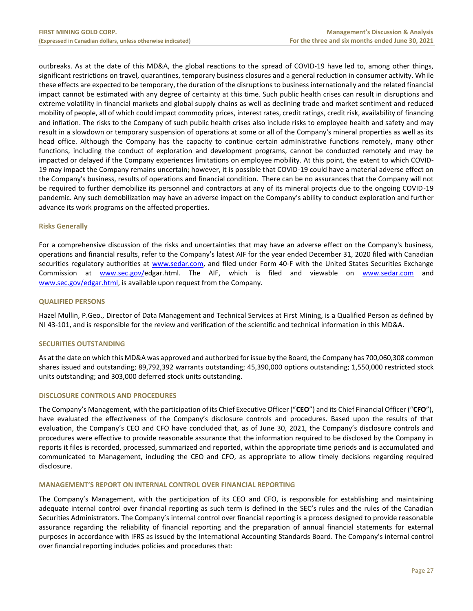outbreaks. As at the date of this MD&A, the global reactions to the spread of COVID-19 have led to, among other things, significant restrictions on travel, quarantines, temporary business closures and a general reduction in consumer activity. While these effects are expected to be temporary, the duration of the disruptions to business internationally and the related financial impact cannot be estimated with any degree of certainty at this time. Such public health crises can result in disruptions and extreme volatility in financial markets and global supply chains as well as declining trade and market sentiment and reduced mobility of people, all of which could impact commodity prices, interest rates, credit ratings, credit risk, availability of financing and inflation. The risks to the Company of such public health crises also include risks to employee health and safety and may result in a slowdown or temporary suspension of operations at some or all of the Company's mineral properties as well as its head office. Although the Company has the capacity to continue certain administrative functions remotely, many other functions, including the conduct of exploration and development programs, cannot be conducted remotely and may be impacted or delayed if the Company experiences limitations on employee mobility. At this point, the extent to which COVID-19 may impact the Company remains uncertain; however, it is possible that COVID-19 could have a material adverse effect on the Company's business, results of operations and financial condition. There can be no assurances that the Company will not be required to further demobilize its personnel and contractors at any of its mineral projects due to the ongoing COVID-19 pandemic. Any such demobilization may have an adverse impact on the Company's ability to conduct exploration and further advance its work programs on the affected properties.

# **Risks Generally**

For a comprehensive discussion of the risks and uncertainties that may have an adverse effect on the Company's business, operations and financial results, refer to the Company's latest AIF for the year ended December 31, 2020 filed with Canadian securities regulatory authorities at [www.sedar.com,](http://www.sedar.com/) and filed under Form 40-F with the United States Securities Exchange Commission at [www.sec.gov/e](http://www.sec.gov/)dgar.html. The AIF, which is filed and viewable on [www.sedar.com](http://www.sedar.com/) and [www.sec.gov/edgar.html,](http://www.sec.gov/edgar.html) is available upon request from the Company.

#### <span id="page-27-0"></span>**QUALIFIED PERSONS**

Hazel Mullin, P.Geo., Director of Data Management and Technical Services at First Mining, is a Qualified Person as defined by NI 43-101, and is responsible for the review and verification of the scientific and technical information in this MD&A.

# <span id="page-27-1"></span>**SECURITIES OUTSTANDING**

As at the date on which this MD&A was approved and authorized for issue by the Board, the Company has 700,060,308 common shares issued and outstanding; 89,792,392 warrants outstanding; 45,390,000 options outstanding; 1,550,000 restricted stock units outstanding; and 303,000 deferred stock units outstanding.

# **DISCLOSURE CONTROLS AND PROCEDURES**

The Company's Management, with the participation of its Chief Executive Officer ("**CEO**") and its Chief Financial Officer ("**CFO**"), have evaluated the effectiveness of the Company's disclosure controls and procedures. Based upon the results of that evaluation, the Company's CEO and CFO have concluded that, as of June 30, 2021, the Company's disclosure controls and procedures were effective to provide reasonable assurance that the information required to be disclosed by the Company in reports it files is recorded, processed, summarized and reported, within the appropriate time periods and is accumulated and communicated to Management, including the CEO and CFO, as appropriate to allow timely decisions regarding required disclosure.

#### <span id="page-27-2"></span>**MANAGEMENT'S REPORT ON INTERNAL CONTROL OVER FINANCIAL REPORTING**

The Company's Management, with the participation of its CEO and CFO, is responsible for establishing and maintaining adequate internal control over financial reporting as such term is defined in the SEC's rules and the rules of the Canadian Securities Administrators. The Company's internal control over financial reporting is a process designed to provide reasonable assurance regarding the reliability of financial reporting and the preparation of annual financial statements for external purposes in accordance with IFRS as issued by the International Accounting Standards Board. The Company's internal control over financial reporting includes policies and procedures that: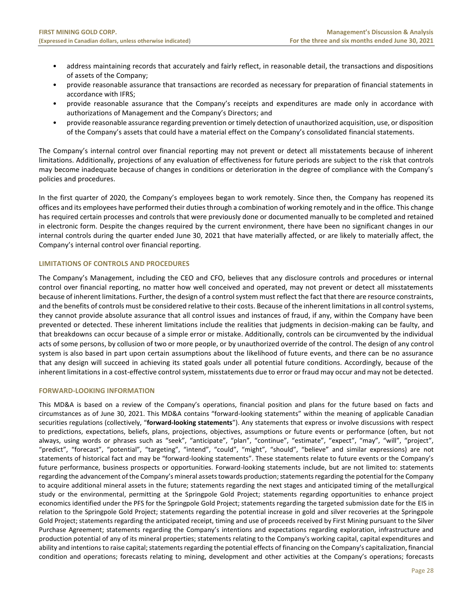- address maintaining records that accurately and fairly reflect, in reasonable detail, the transactions and dispositions of assets of the Company;
- provide reasonable assurance that transactions are recorded as necessary for preparation of financial statements in accordance with IFRS;
- provide reasonable assurance that the Company's receipts and expenditures are made only in accordance with authorizations of Management and the Company's Directors; and
- provide reasonable assurance regarding prevention or timely detection of unauthorized acquisition, use, or disposition of the Company's assets that could have a material effect on the Company's consolidated financial statements.

The Company's internal control over financial reporting may not prevent or detect all misstatements because of inherent limitations. Additionally, projections of any evaluation of effectiveness for future periods are subject to the risk that controls may become inadequate because of changes in conditions or deterioration in the degree of compliance with the Company's policies and procedures.

In the first quarter of 2020, the Company's employees began to work remotely. Since then, the Company has reopened its offices and its employees have performed their duties through a combination of working remotely and in the office. This change has required certain processes and controls that were previously done or documented manually to be completed and retained in electronic form. Despite the changes required by the current environment, there have been no significant changes in our internal controls during the quarter ended June 30, 2021 that have materially affected, or are likely to materially affect, the Company's internal control over financial reporting.

# **LIMITATIONS OF CONTROLS AND PROCEDURES**

The Company's Management, including the CEO and CFO, believes that any disclosure controls and procedures or internal control over financial reporting, no matter how well conceived and operated, may not prevent or detect all misstatements because of inherent limitations. Further, the design of a control system must reflect the fact that there are resource constraints, and the benefits of controls must be considered relative to their costs. Because of the inherent limitations in all control systems, they cannot provide absolute assurance that all control issues and instances of fraud, if any, within the Company have been prevented or detected. These inherent limitations include the realities that judgments in decision-making can be faulty, and that breakdowns can occur because of a simple error or mistake. Additionally, controls can be circumvented by the individual acts of some persons, by collusion of two or more people, or by unauthorized override of the control. The design of any control system is also based in part upon certain assumptions about the likelihood of future events, and there can be no assurance that any design will succeed in achieving its stated goals under all potential future conditions. Accordingly, because of the inherent limitations in a cost-effective control system, misstatements due to error or fraud may occur and may not be detected.

# <span id="page-28-0"></span>**FORWARD-LOOKING INFORMATION**

This MD&A is based on a review of the Company's operations, financial position and plans for the future based on facts and circumstances as of June 30, 2021. This MD&A contains "forward-looking statements" within the meaning of applicable Canadian securities regulations (collectively, "**forward-looking statements**"). Any statements that express or involve discussions with respect to predictions, expectations, beliefs, plans, projections, objectives, assumptions or future events or performance (often, but not always, using words or phrases such as "seek", "anticipate", "plan", "continue", "estimate", "expect", "may", "will", "project", "predict", "forecast", "potential", "targeting", "intend", "could", "might", "should", "believe" and similar expressions) are not statements of historical fact and may be "forward-looking statements". These statements relate to future events or the Company's future performance, business prospects or opportunities. Forward-looking statements include, but are not limited to: statements regarding the advancement of the Company's mineral assets towards production; statements regarding the potential for the Company to acquire additional mineral assets in the future; statements regarding the next stages and anticipated timing of the metallurgical study or the environmental, permitting at the Springpole Gold Project; statements regarding opportunities to enhance project economics identified under the PFS for the Springpole Gold Project; statements regarding the targeted submission date for the EIS in relation to the Springpole Gold Project; statements regarding the potential increase in gold and silver recoveries at the Springpole Gold Project; statements regarding the anticipated receipt, timing and use of proceeds received by First Mining pursuant to the Silver Purchase Agreement; statements regarding the Company's intentions and expectations regarding exploration, infrastructure and production potential of any of its mineral properties; statements relating to the Company's working capital, capital expenditures and ability and intentions to raise capital; statements regarding the potential effects of financing on the Company's capitalization, financial condition and operations; forecasts relating to mining, development and other activities at the Company's operations; forecasts